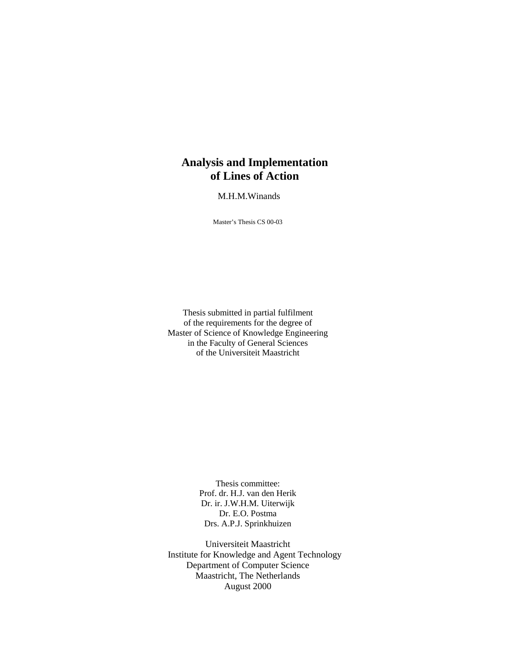### **Analysis and Implementation of Lines of Action**

M.H.M.Winands

Master's Thesis CS 00-03

Thesis submitted in partial fulfilment of the requirements for the degree of Master of Science of Knowledge Engineering in the Faculty of General Sciences of the Universiteit Maastricht

> Thesis committee: Prof. dr. H.J. van den Herik Dr. ir. J.W.H.M. Uiterwijk Dr. E.O. Postma Drs. A.P.J. Sprinkhuizen

Universiteit Maastricht Institute for Knowledge and Agent Technology Department of Computer Science Maastricht, The Netherlands August 2000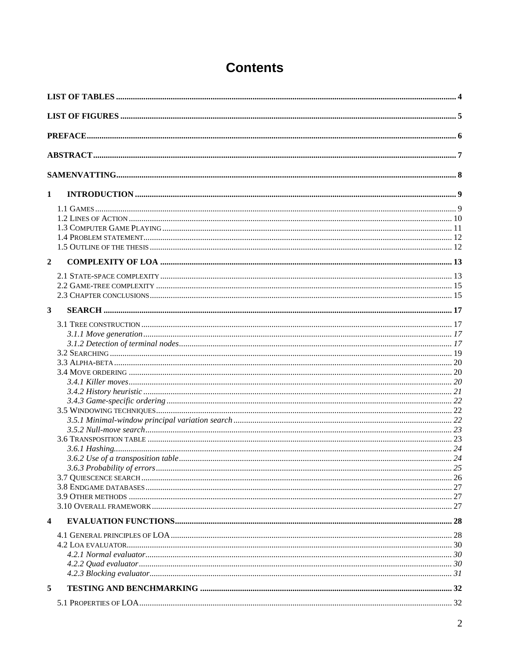| $\mathbf{1}$            |  |  |  |  |  |
|-------------------------|--|--|--|--|--|
|                         |  |  |  |  |  |
|                         |  |  |  |  |  |
|                         |  |  |  |  |  |
|                         |  |  |  |  |  |
|                         |  |  |  |  |  |
| $\overline{2}$          |  |  |  |  |  |
|                         |  |  |  |  |  |
|                         |  |  |  |  |  |
|                         |  |  |  |  |  |
| $\mathbf{3}$            |  |  |  |  |  |
|                         |  |  |  |  |  |
|                         |  |  |  |  |  |
|                         |  |  |  |  |  |
|                         |  |  |  |  |  |
|                         |  |  |  |  |  |
|                         |  |  |  |  |  |
|                         |  |  |  |  |  |
|                         |  |  |  |  |  |
|                         |  |  |  |  |  |
|                         |  |  |  |  |  |
|                         |  |  |  |  |  |
|                         |  |  |  |  |  |
|                         |  |  |  |  |  |
|                         |  |  |  |  |  |
|                         |  |  |  |  |  |
|                         |  |  |  |  |  |
|                         |  |  |  |  |  |
|                         |  |  |  |  |  |
|                         |  |  |  |  |  |
| $\overline{\mathbf{4}}$ |  |  |  |  |  |
|                         |  |  |  |  |  |
|                         |  |  |  |  |  |
|                         |  |  |  |  |  |
|                         |  |  |  |  |  |
|                         |  |  |  |  |  |
| 5                       |  |  |  |  |  |
|                         |  |  |  |  |  |

# **Contents**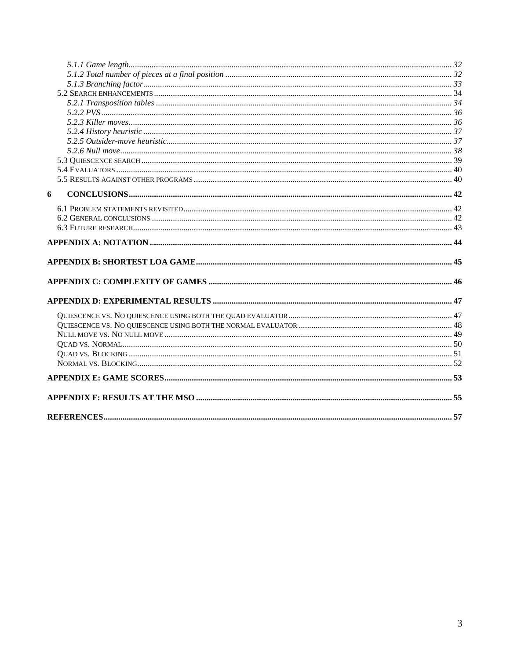| 6 |  |
|---|--|
|   |  |
|   |  |
|   |  |
|   |  |
|   |  |
|   |  |
|   |  |
|   |  |
|   |  |
|   |  |
|   |  |
|   |  |
|   |  |
|   |  |
|   |  |
|   |  |
|   |  |
|   |  |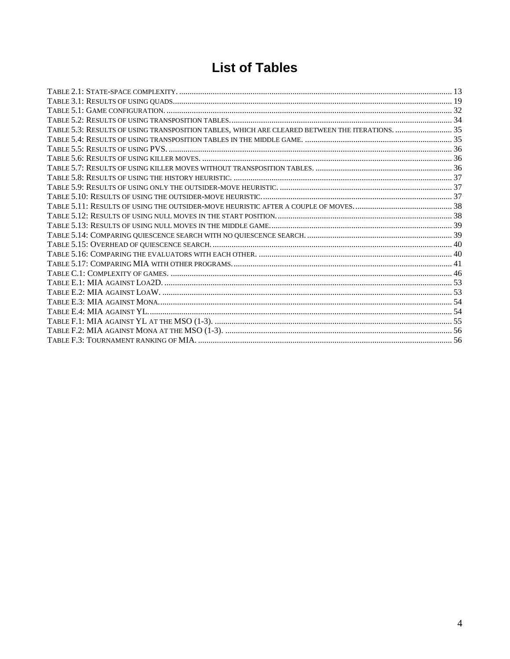# **List of Tables**

| TABLE 5.3: RESULTS OF USING TRANSPOSITION TABLES, WHICH ARE CLEARED BETWEEN THE ITERATIONS.  35 |  |
|-------------------------------------------------------------------------------------------------|--|
|                                                                                                 |  |
|                                                                                                 |  |
|                                                                                                 |  |
|                                                                                                 |  |
|                                                                                                 |  |
|                                                                                                 |  |
|                                                                                                 |  |
|                                                                                                 |  |
|                                                                                                 |  |
|                                                                                                 |  |
|                                                                                                 |  |
|                                                                                                 |  |
|                                                                                                 |  |
|                                                                                                 |  |
|                                                                                                 |  |
|                                                                                                 |  |
|                                                                                                 |  |
|                                                                                                 |  |
|                                                                                                 |  |
|                                                                                                 |  |
|                                                                                                 |  |
|                                                                                                 |  |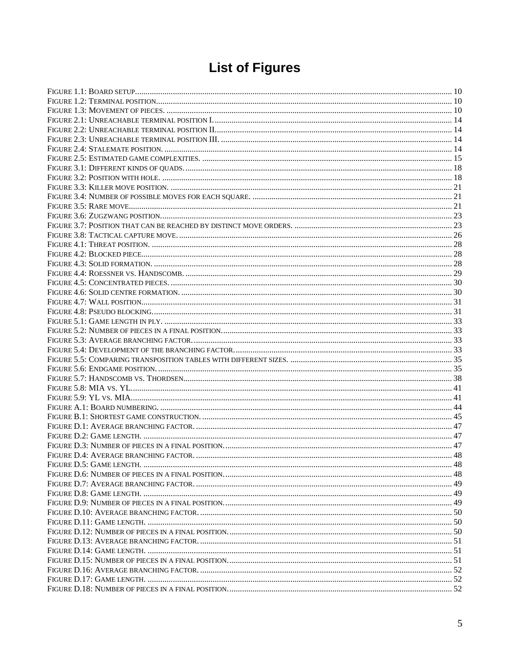# **List of Figures**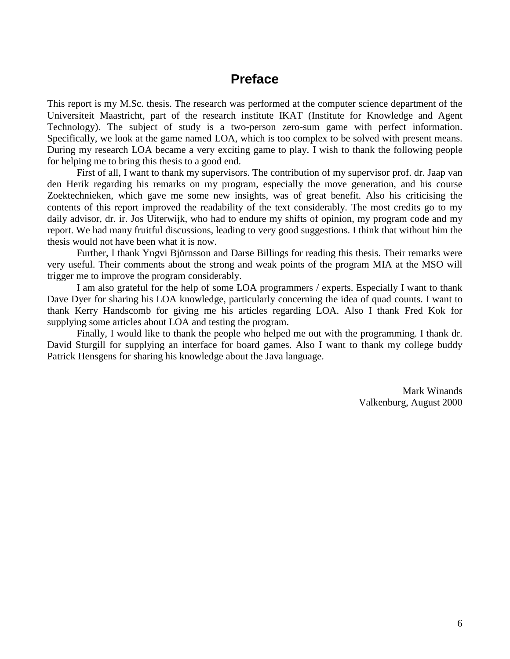### **Preface**

This report is my M.Sc. thesis. The research was performed at the computer science department of the Universiteit Maastricht, part of the research institute IKAT (Institute for Knowledge and Agent Technology). The subject of study is a two-person zero-sum game with perfect information. Specifically, we look at the game named LOA, which is too complex to be solved with present means. During my research LOA became a very exciting game to play. I wish to thank the following people for helping me to bring this thesis to a good end.

First of all, I want to thank my supervisors. The contribution of my supervisor prof. dr. Jaap van den Herik regarding his remarks on my program, especially the move generation, and his course Zoektechnieken, which gave me some new insights, was of great benefit. Also his criticising the contents of this report improved the readability of the text considerably. The most credits go to my daily advisor, dr. ir. Jos Uiterwijk, who had to endure my shifts of opinion, my program code and my report. We had many fruitful discussions, leading to very good suggestions. I think that without him the thesis would not have been what it is now.

 Further, I thank Yngvi Björnsson and Darse Billings for reading this thesis. Their remarks were very useful. Their comments about the strong and weak points of the program MIA at the MSO will trigger me to improve the program considerably.

I am also grateful for the help of some LOA programmers / experts. Especially I want to thank Dave Dyer for sharing his LOA knowledge, particularly concerning the idea of quad counts. I want to thank Kerry Handscomb for giving me his articles regarding LOA. Also I thank Fred Kok for supplying some articles about LOA and testing the program.

 Finally, I would like to thank the people who helped me out with the programming. I thank dr. David Sturgill for supplying an interface for board games. Also I want to thank my college buddy Patrick Hensgens for sharing his knowledge about the Java language.

> Mark Winands Valkenburg, August 2000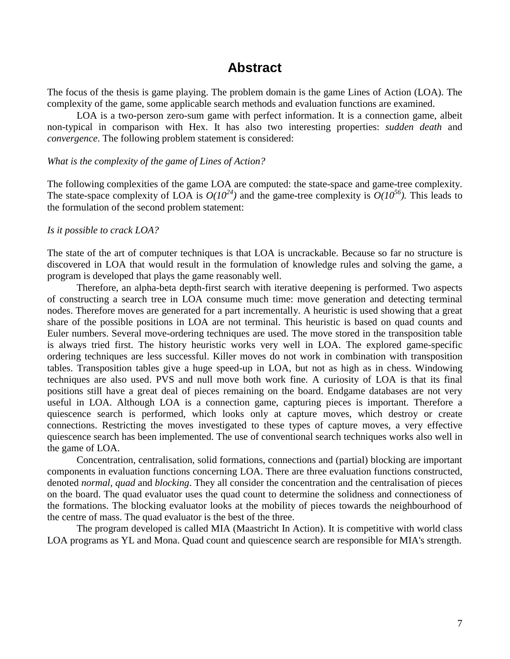### **Abstract**

The focus of the thesis is game playing. The problem domain is the game Lines of Action (LOA). The complexity of the game, some applicable search methods and evaluation functions are examined.

 LOA is a two-person zero-sum game with perfect information. It is a connection game, albeit non-typical in comparison with Hex. It has also two interesting properties: *sudden death* and *convergence*. The following problem statement is considered:

#### *What is the complexity of the game of Lines of Action?*

The following complexities of the game LOA are computed: the state-space and game-tree complexity. The state-space complexity of LOA is  $O(10^{24})$  and the game-tree complexity is  $O(10^{56})$ . This leads to the formulation of the second problem statement:

#### *Is it possible to crack LOA?*

The state of the art of computer techniques is that LOA is uncrackable. Because so far no structure is discovered in LOA that would result in the formulation of knowledge rules and solving the game, a program is developed that plays the game reasonably well.

Therefore, an alpha-beta depth-first search with iterative deepening is performed. Two aspects of constructing a search tree in LOA consume much time: move generation and detecting terminal nodes. Therefore moves are generated for a part incrementally. A heuristic is used showing that a great share of the possible positions in LOA are not terminal. This heuristic is based on quad counts and Euler numbers. Several move-ordering techniques are used. The move stored in the transposition table is always tried first. The history heuristic works very well in LOA. The explored game-specific ordering techniques are less successful. Killer moves do not work in combination with transposition tables. Transposition tables give a huge speed-up in LOA, but not as high as in chess. Windowing techniques are also used. PVS and null move both work fine. A curiosity of LOA is that its final positions still have a great deal of pieces remaining on the board. Endgame databases are not very useful in LOA. Although LOA is a connection game, capturing pieces is important. Therefore a quiescence search is performed, which looks only at capture moves, which destroy or create connections. Restricting the moves investigated to these types of capture moves, a very effective quiescence search has been implemented. The use of conventional search techniques works also well in the game of LOA.

Concentration, centralisation, solid formations, connections and (partial) blocking are important components in evaluation functions concerning LOA. There are three evaluation functions constructed, denoted *normal*, *quad* and *blocking*. They all consider the concentration and the centralisation of pieces on the board. The quad evaluator uses the quad count to determine the solidness and connectioness of the formations. The blocking evaluator looks at the mobility of pieces towards the neighbourhood of the centre of mass. The quad evaluator is the best of the three.

The program developed is called MIA (Maastricht In Action). It is competitive with world class LOA programs as YL and Mona. Quad count and quiescence search are responsible for MIA's strength.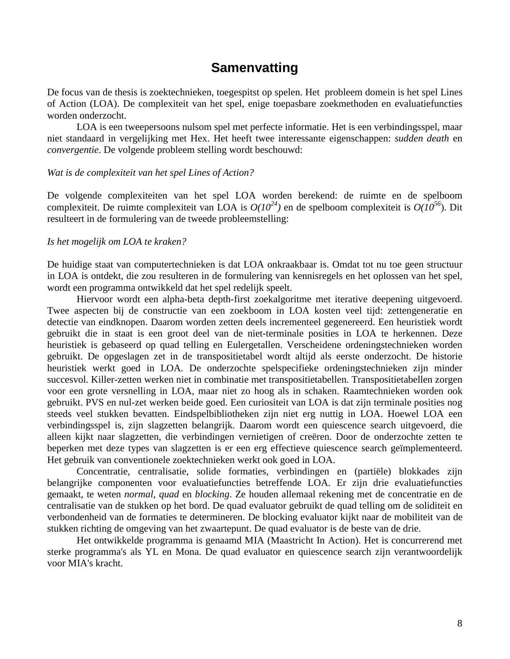### **Samenvatting**

De focus van de thesis is zoektechnieken, toegespitst op spelen. Het probleem domein is het spel Lines of Action (LOA). De complexiteit van het spel, enige toepasbare zoekmethoden en evaluatiefuncties worden onderzocht.

 LOA is een tweepersoons nulsom spel met perfecte informatie. Het is een verbindingsspel, maar niet standaard in vergelijking met Hex. Het heeft twee interessante eigenschappen: *sudden death* en *convergentie*. De volgende probleem stelling wordt beschouwd:

#### *Wat is de complexiteit van het spel Lines of Action?*

De volgende complexiteiten van het spel LOA worden berekend: de ruimte en de spelboom complexiteit. De ruimte complexiteit van LOA is *O(1024)* en de spelboom complexiteit is *O(10<sup>56</sup>*). Dit resulteert in de formulering van de tweede probleemstelling:

#### *Is het mogelijk om LOA te kraken?*

De huidige staat van computertechnieken is dat LOA onkraakbaar is. Omdat tot nu toe geen structuur in LOA is ontdekt, die zou resulteren in de formulering van kennisregels en het oplossen van het spel, wordt een programma ontwikkeld dat het spel redelijk speelt.

Hiervoor wordt een alpha-beta depth-first zoekalgoritme met iterative deepening uitgevoerd. Twee aspecten bij de constructie van een zoekboom in LOA kosten veel tijd: zettengeneratie en detectie van eindknopen. Daarom worden zetten deels incrementeel gegenereerd. Een heuristiek wordt gebruikt die in staat is een groot deel van de niet-terminale posities in LOA te herkennen. Deze heuristiek is gebaseerd op quad telling en Eulergetallen. Verscheidene ordeningstechnieken worden gebruikt. De opgeslagen zet in de transpositietabel wordt altijd als eerste onderzocht. De historie heuristiek werkt goed in LOA. De onderzochte spelspecifieke ordeningstechnieken zijn minder succesvol. Killer-zetten werken niet in combinatie met transpositietabellen. Transpositietabellen zorgen voor een grote versnelling in LOA, maar niet zo hoog als in schaken. Raamtechnieken worden ook gebruikt. PVS en nul-zet werken beide goed. Een curiositeit van LOA is dat zijn terminale posities nog steeds veel stukken bevatten. Eindspelbibliotheken zijn niet erg nuttig in LOA. Hoewel LOA een verbindingsspel is, zijn slagzetten belangrijk. Daarom wordt een quiescence search uitgevoerd, die alleen kijkt naar slagzetten, die verbindingen vernietigen of creëren. Door de onderzochte zetten te beperken met deze types van slagzetten is er een erg effectieve quiescence search geïmplementeerd. Het gebruik van conventionele zoektechnieken werkt ook goed in LOA.

Concentratie, centralisatie, solide formaties, verbindingen en (partiële) blokkades zijn belangrijke componenten voor evaluatiefuncties betreffende LOA. Er zijn drie evaluatiefuncties gemaakt, te weten *normal*, *quad* en *blocking*. Ze houden allemaal rekening met de concentratie en de centralisatie van de stukken op het bord. De quad evaluator gebruikt de quad telling om de soliditeit en verbondenheid van de formaties te determineren. De blocking evaluator kijkt naar de mobiliteit van de stukken richting de omgeving van het zwaartepunt. De quad evaluator is de beste van de drie.

Het ontwikkelde programma is genaamd MIA (Maastricht In Action). Het is concurrerend met sterke programma's als YL en Mona. De quad evaluator en quiescence search zijn verantwoordelijk voor MIA's kracht.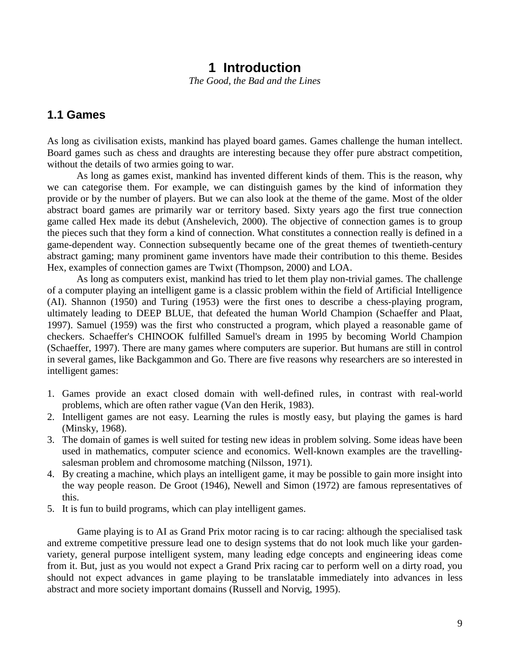### **1 Introduction**

*The Good, the Bad and the Lines* 

### **1.1 Games**

As long as civilisation exists, mankind has played board games. Games challenge the human intellect. Board games such as chess and draughts are interesting because they offer pure abstract competition, without the details of two armies going to war.

 As long as games exist, mankind has invented different kinds of them. This is the reason, why we can categorise them. For example, we can distinguish games by the kind of information they provide or by the number of players. But we can also look at the theme of the game. Most of the older abstract board games are primarily war or territory based. Sixty years ago the first true connection game called Hex made its debut (Anshelevich, 2000). The objective of connection games is to group the pieces such that they form a kind of connection. What constitutes a connection really is defined in a game-dependent way. Connection subsequently became one of the great themes of twentieth-century abstract gaming; many prominent game inventors have made their contribution to this theme. Besides Hex, examples of connection games are Twixt (Thompson, 2000) and LOA.

As long as computers exist, mankind has tried to let them play non-trivial games. The challenge of a computer playing an intelligent game is a classic problem within the field of Artificial Intelligence (AI). Shannon (1950) and Turing (1953) were the first ones to describe a chess-playing program, ultimately leading to DEEP BLUE, that defeated the human World Champion (Schaeffer and Plaat, 1997). Samuel (1959) was the first who constructed a program, which played a reasonable game of checkers. Schaeffer's CHINOOK fulfilled Samuel's dream in 1995 by becoming World Champion (Schaeffer, 1997). There are many games where computers are superior. But humans are still in control in several games, like Backgammon and Go. There are five reasons why researchers are so interested in intelligent games:

- 1. Games provide an exact closed domain with well-defined rules, in contrast with real-world problems, which are often rather vague (Van den Herik, 1983).
- 2. Intelligent games are not easy. Learning the rules is mostly easy, but playing the games is hard (Minsky, 1968).
- 3. The domain of games is well suited for testing new ideas in problem solving. Some ideas have been used in mathematics, computer science and economics. Well-known examples are the travellingsalesman problem and chromosome matching (Nilsson, 1971).
- 4. By creating a machine, which plays an intelligent game, it may be possible to gain more insight into the way people reason. De Groot (1946), Newell and Simon (1972) are famous representatives of this.
- 5. It is fun to build programs, which can play intelligent games.

Game playing is to AI as Grand Prix motor racing is to car racing: although the specialised task and extreme competitive pressure lead one to design systems that do not look much like your gardenvariety, general purpose intelligent system, many leading edge concepts and engineering ideas come from it. But, just as you would not expect a Grand Prix racing car to perform well on a dirty road, you should not expect advances in game playing to be translatable immediately into advances in less abstract and more society important domains (Russell and Norvig, 1995).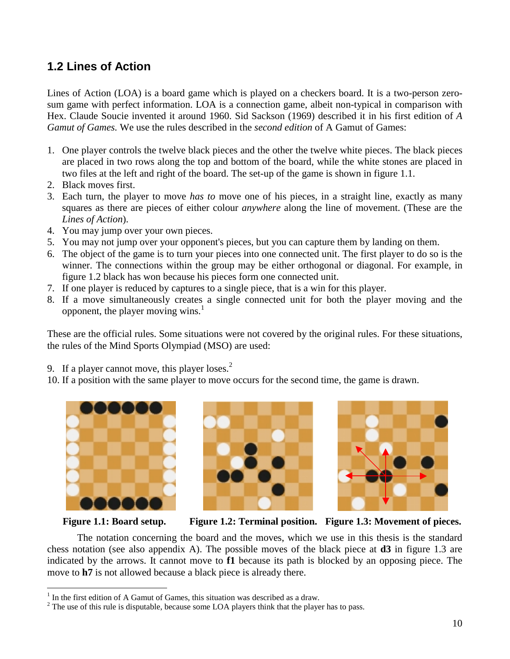### **1.2 Lines of Action**

Lines of Action (LOA) is a board game which is played on a checkers board. It is a two-person zerosum game with perfect information. LOA is a connection game, albeit non-typical in comparison with Hex. Claude Soucie invented it around 1960. Sid Sackson (1969) described it in his first edition of *A Gamut of Games.* We use the rules described in the *second edition* of A Gamut of Games:

- 1. One player controls the twelve black pieces and the other the twelve white pieces. The black pieces are placed in two rows along the top and bottom of the board, while the white stones are placed in two files at the left and right of the board. The set-up of the game is shown in figure 1.1.
- 2. Black moves first.
- 3. Each turn, the player to move *has to* move one of his pieces, in a straight line, exactly as many squares as there are pieces of either colour *anywhere* along the line of movement. (These are the *Lines of Action*).
- 4. You may jump over your own pieces.
- 5. You may not jump over your opponent's pieces, but you can capture them by landing on them.
- 6. The object of the game is to turn your pieces into one connected unit. The first player to do so is the winner. The connections within the group may be either orthogonal or diagonal. For example, in figure 1.2 black has won because his pieces form one connected unit.
- 7. If one player is reduced by captures to a single piece, that is a win for this player.
- 8. If a move simultaneously creates a single connected unit for both the player moving and the opponent, the player moving wins.<sup>1</sup>

These are the official rules. Some situations were not covered by the original rules. For these situations, the rules of the Mind Sports Olympiad (MSO) are used:

- 9. If a player cannot move, this player loses.<sup>2</sup>
- 10. If a position with the same player to move occurs for the second time, the game is drawn.





 $\overline{a}$ 





**Figure 1.1: Board setup. Figure 1.2: Terminal position. Figure 1.3: Movement of pieces.**

The notation concerning the board and the moves, which we use in this thesis is the standard chess notation (see also appendix A). The possible moves of the black piece at **d3** in figure 1.3 are indicated by the arrows. It cannot move to **f1** because its path is blocked by an opposing piece. The move to **h7** is not allowed because a black piece is already there.

 $<sup>1</sup>$  In the first edition of A Gamut of Games, this situation was described as a draw.</sup>

 $2^2$  The use of this rule is disputable, because some LOA players think that the player has to pass.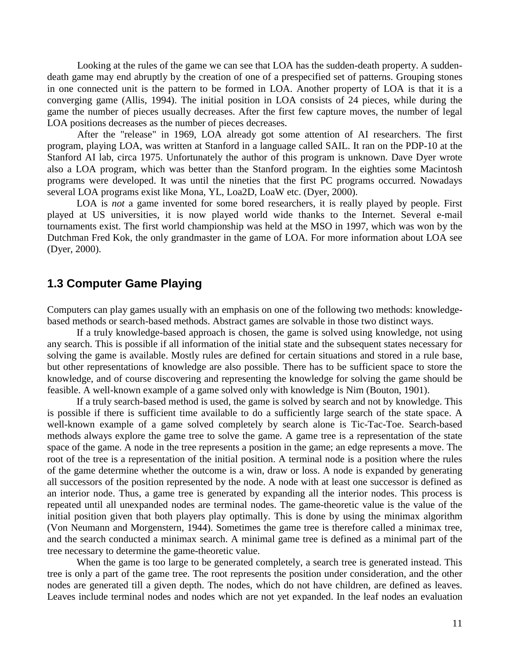Looking at the rules of the game we can see that LOA has the sudden-death property. A suddendeath game may end abruptly by the creation of one of a prespecified set of patterns. Grouping stones in one connected unit is the pattern to be formed in LOA. Another property of LOA is that it is a converging game (Allis, 1994). The initial position in LOA consists of 24 pieces, while during the game the number of pieces usually decreases. After the first few capture moves, the number of legal LOA positions decreases as the number of pieces decreases.

After the "release" in 1969, LOA already got some attention of AI researchers. The first program, playing LOA, was written at Stanford in a language called SAIL. It ran on the PDP-10 at the Stanford AI lab, circa 1975. Unfortunately the author of this program is unknown. Dave Dyer wrote also a LOA program, which was better than the Stanford program. In the eighties some Macintosh programs were developed. It was until the nineties that the first PC programs occurred. Nowadays several LOA programs exist like Mona, YL, Loa2D, LoaW etc. (Dyer, 2000).

 LOA is *not* a game invented for some bored researchers, it is really played by people. First played at US universities, it is now played world wide thanks to the Internet. Several e-mail tournaments exist. The first world championship was held at the MSO in 1997, which was won by the Dutchman Fred Kok, the only grandmaster in the game of LOA. For more information about LOA see (Dyer, 2000).

### **1.3 Computer Game Playing**

Computers can play games usually with an emphasis on one of the following two methods: knowledgebased methods or search-based methods. Abstract games are solvable in those two distinct ways.

 If a truly knowledge-based approach is chosen, the game is solved using knowledge, not using any search. This is possible if all information of the initial state and the subsequent states necessary for solving the game is available. Mostly rules are defined for certain situations and stored in a rule base, but other representations of knowledge are also possible. There has to be sufficient space to store the knowledge, and of course discovering and representing the knowledge for solving the game should be feasible. A well-known example of a game solved only with knowledge is Nim (Bouton, 1901).

 If a truly search-based method is used, the game is solved by search and not by knowledge. This is possible if there is sufficient time available to do a sufficiently large search of the state space. A well-known example of a game solved completely by search alone is Tic-Tac-Toe. Search-based methods always explore the game tree to solve the game. A game tree is a representation of the state space of the game. A node in the tree represents a position in the game; an edge represents a move. The root of the tree is a representation of the initial position. A terminal node is a position where the rules of the game determine whether the outcome is a win, draw or loss. A node is expanded by generating all successors of the position represented by the node. A node with at least one successor is defined as an interior node. Thus, a game tree is generated by expanding all the interior nodes. This process is repeated until all unexpanded nodes are terminal nodes. The game-theoretic value is the value of the initial position given that both players play optimally. This is done by using the minimax algorithm (Von Neumann and Morgenstern, 1944). Sometimes the game tree is therefore called a minimax tree, and the search conducted a minimax search. A minimal game tree is defined as a minimal part of the tree necessary to determine the game-theoretic value.

 When the game is too large to be generated completely, a search tree is generated instead. This tree is only a part of the game tree. The root represents the position under consideration, and the other nodes are generated till a given depth. The nodes, which do not have children, are defined as leaves. Leaves include terminal nodes and nodes which are not yet expanded. In the leaf nodes an evaluation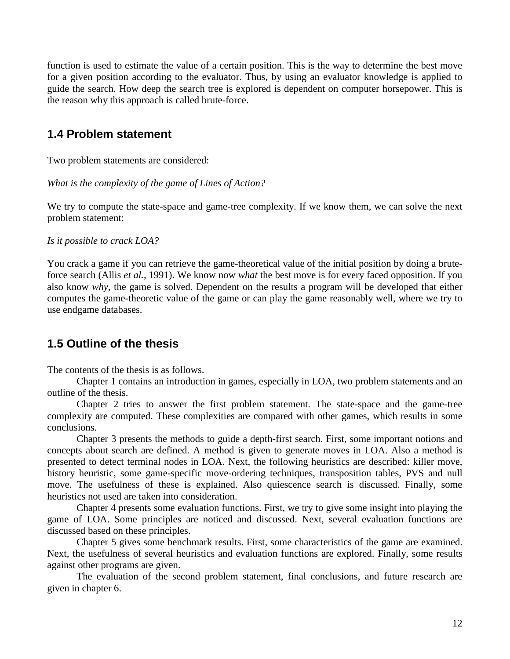function is used to estimate the value of a certain position. This is the way to determine the best move for a given position according to the evaluator. Thus, by using an evaluator knowledge is applied to guide the search. How deep the search tree is explored is dependent on computer horsepower. This is the reason why this approach is called brute-force.

### **1.4 Problem statement**

Two problem statements are considered:

*What is the complexity of the game of Lines of Action?* 

We try to compute the state-space and game-tree complexity. If we know them, we can solve the next problem statement:

#### *Is it possible to crack LOA?*

You crack a game if you can retrieve the game-theoretical value of the initial position by doing a bruteforce search (Allis *et al.*, 1991). We know now *what* the best move is for every faced opposition. If you also know *why*, the game is solved. Dependent on the results a program will be developed that either computes the game-theoretic value of the game or can play the game reasonably well, where we try to use endgame databases.

### **1.5 Outline of the thesis**

The contents of the thesis is as follows.

 Chapter 1 contains an introduction in games, especially in LOA, two problem statements and an outline of the thesis.

 Chapter 2 tries to answer the first problem statement. The state-space and the game-tree complexity are computed. These complexities are compared with other games, which results in some conclusions.

 Chapter 3 presents the methods to guide a depth-first search. First, some important notions and concepts about search are defined. A method is given to generate moves in LOA. Also a method is presented to detect terminal nodes in LOA. Next, the following heuristics are described: killer move, history heuristic, some game-specific move-ordering techniques, transposition tables, PVS and null move. The usefulness of these is explained. Also quiescence search is discussed. Finally, some heuristics not used are taken into consideration.

 Chapter 4 presents some evaluation functions. First, we try to give some insight into playing the game of LOA. Some principles are noticed and discussed. Next, several evaluation functions are discussed based on these principles.

 Chapter 5 gives some benchmark results. First, some characteristics of the game are examined. Next, the usefulness of several heuristics and evaluation functions are explored. Finally, some results against other programs are given.

The evaluation of the second problem statement, final conclusions, and future research are given in chapter 6.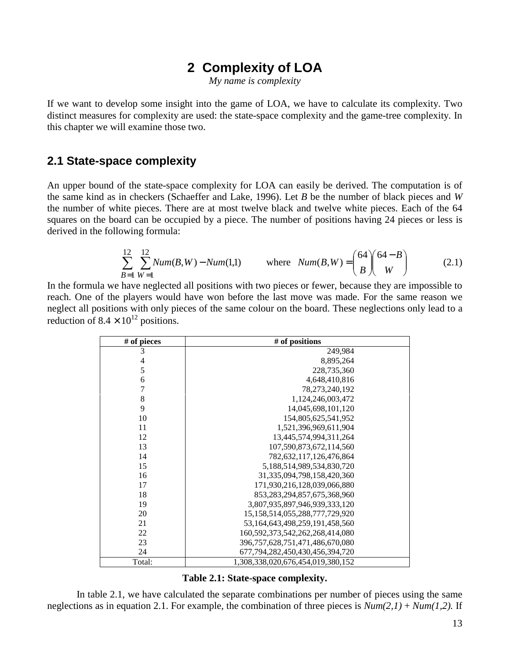### **2 Complexity of LOA**

*My name is complexity* 

If we want to develop some insight into the game of LOA, we have to calculate its complexity. Two distinct measures for complexity are used: the state-space complexity and the game-tree complexity. In this chapter we will examine those two.

### **2.1 State-space complexity**

An upper bound of the state-space complexity for LOA can easily be derived. The computation is of the same kind as in checkers (Schaeffer and Lake, 1996). Let *B* be the number of black pieces and *W*  the number of white pieces. There are at most twelve black and twelve white pieces. Each of the 64 squares on the board can be occupied by a piece. The number of positions having 24 pieces or less is derived in the following formula:

$$
\sum_{B=1}^{12} \sum_{W=1}^{12} Num(B, W) - Num(1,1) \qquad \text{where} \quad Num(B, W) = \binom{64}{B} \binom{64 - B}{W} \tag{2.1}
$$

In the formula we have neglected all positions with two pieces or fewer, because they are impossible to reach. One of the players would have won before the last move was made. For the same reason we neglect all positions with only pieces of the same colour on the board. These neglections only lead to a reduction of  $8.4 \times 10^{12}$  positions.

| # of pieces | # of positions                         |
|-------------|----------------------------------------|
| 3           | 249,984                                |
| 4           | 8,895,264                              |
| 5           | 228,735,360                            |
| 6           | 4,648,410,816                          |
| 7           | 78,273,240,192                         |
| 8           | 1,124,246,003,472                      |
| 9           | 14,045,698,101,120                     |
| 10          | 154,805,625,541,952                    |
| 11          | 1,521,396,969,611,904                  |
| 12          | 13,445,574,994,311,264                 |
| 13          | 107,590,873,672,114,560                |
| 14          | 782,632,117,126,476,864                |
| 15          | 5,188,514,989,534,830,720              |
| 16          | 31, 335, 094, 798, 158, 420, 360       |
| 17          | 171,930,216,128,039,066,880            |
| 18          | 853, 283, 294, 857, 675, 368, 960      |
| 19          | 3,807,935,897,946,939,333,120          |
| 20          | 15, 158, 514, 055, 288, 777, 729, 920  |
| 21          | 53,164,643,498,259,191,458,560         |
| 22          | 160, 592, 373, 542, 262, 268, 414, 080 |
| 23          | 396, 757, 628, 751, 471, 486, 670, 080 |
| 24          | 677,794,282,450,430,456,394,720        |
| Total:      | 1,308,338,020,676,454,019,380,152      |

**Table 2.1: State-space complexity.** 

In table 2.1, we have calculated the separate combinations per number of pieces using the same neglections as in equation 2.1. For example, the combination of three pieces is  $Num(2,1) + Num(1,2)$ . If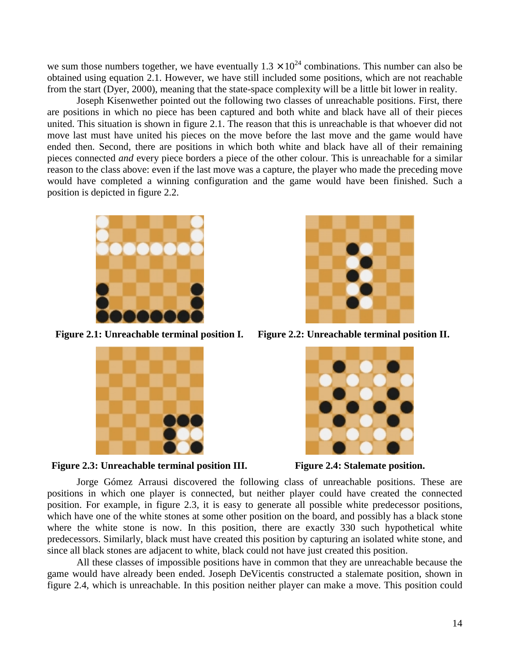we sum those numbers together, we have eventually  $1.3 \times 10^{24}$  combinations. This number can also be obtained using equation 2.1. However, we have still included some positions, which are not reachable from the start (Dyer, 2000), meaning that the state-space complexity will be a little bit lower in reality.

Joseph Kisenwether pointed out the following two classes of unreachable positions. First, there are positions in which no piece has been captured and both white and black have all of their pieces united. This situation is shown in figure 2.1. The reason that this is unreachable is that whoever did not move last must have united his pieces on the move before the last move and the game would have ended then. Second, there are positions in which both white and black have all of their remaining pieces connected *and* every piece borders a piece of the other colour. This is unreachable for a similar reason to the class above: even if the last move was a capture, the player who made the preceding move would have completed a winning configuration and the game would have been finished. Such a position is depicted in figure 2.2.



**Figure 2.1: Unreachable terminal position I. Figure 2.2: Unreachable terminal position II.** 









Jorge Gómez Arrausi discovered the following class of unreachable positions. These are positions in which one player is connected, but neither player could have created the connected position. For example, in figure 2.3, it is easy to generate all possible white predecessor positions, which have one of the white stones at some other position on the board, and possibly has a black stone where the white stone is now. In this position, there are exactly 330 such hypothetical white predecessors. Similarly, black must have created this position by capturing an isolated white stone, and since all black stones are adjacent to white, black could not have just created this position.

All these classes of impossible positions have in common that they are unreachable because the game would have already been ended. Joseph DeVicentis constructed a stalemate position, shown in figure 2.4, which is unreachable. In this position neither player can make a move. This position could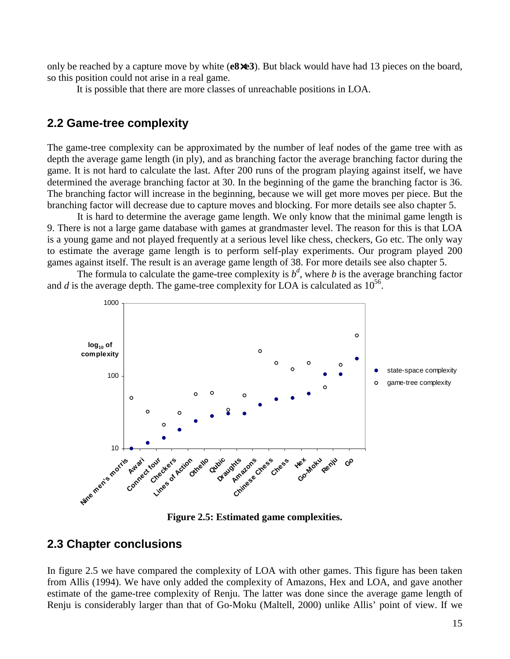only be reached by a capture move by white (**e8**×**e3**). But black would have had 13 pieces on the board, so this position could not arise in a real game.

It is possible that there are more classes of unreachable positions in LOA.

### **2.2 Game-tree complexity**

The game-tree complexity can be approximated by the number of leaf nodes of the game tree with as depth the average game length (in ply), and as branching factor the average branching factor during the game. It is not hard to calculate the last. After 200 runs of the program playing against itself, we have determined the average branching factor at 30. In the beginning of the game the branching factor is 36. The branching factor will increase in the beginning, because we will get more moves per piece. But the branching factor will decrease due to capture moves and blocking. For more details see also chapter 5.

It is hard to determine the average game length. We only know that the minimal game length is 9. There is not a large game database with games at grandmaster level. The reason for this is that LOA is a young game and not played frequently at a serious level like chess, checkers, Go etc. The only way to estimate the average game length is to perform self-play experiments. Our program played 200 games against itself. The result is an average game length of 38. For more details see also chapter 5.

The formula to calculate the game-tree complexity is  $b^d$ , where *b* is the average branching factor and *d* is the average depth. The game-tree complexity for LOA is calculated as  $10^{56}$ .



**Figure 2.5: Estimated game complexities.** 

### **2.3 Chapter conclusions**

In figure 2.5 we have compared the complexity of LOA with other games. This figure has been taken from Allis (1994). We have only added the complexity of Amazons, Hex and LOA, and gave another estimate of the game-tree complexity of Renju. The latter was done since the average game length of Renju is considerably larger than that of Go-Moku (Maltell, 2000) unlike Allis' point of view. If we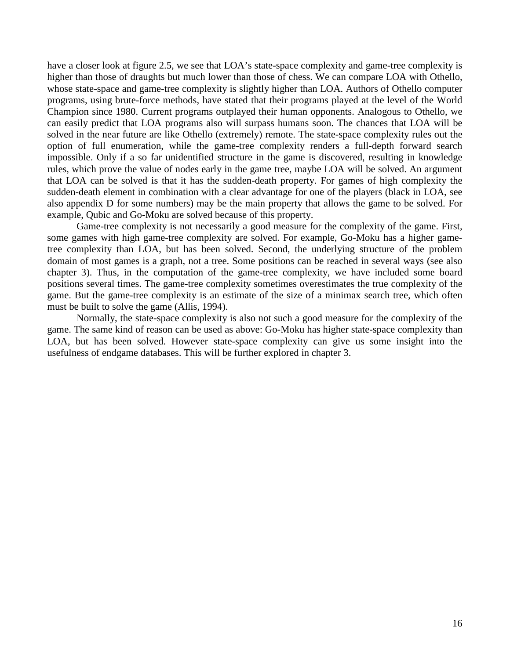have a closer look at figure 2.5, we see that LOA's state-space complexity and game-tree complexity is higher than those of draughts but much lower than those of chess. We can compare LOA with Othello, whose state-space and game-tree complexity is slightly higher than LOA. Authors of Othello computer programs, using brute-force methods, have stated that their programs played at the level of the World Champion since 1980. Current programs outplayed their human opponents. Analogous to Othello, we can easily predict that LOA programs also will surpass humans soon. The chances that LOA will be solved in the near future are like Othello (extremely) remote. The state-space complexity rules out the option of full enumeration, while the game-tree complexity renders a full-depth forward search impossible. Only if a so far unidentified structure in the game is discovered, resulting in knowledge rules, which prove the value of nodes early in the game tree, maybe LOA will be solved. An argument that LOA can be solved is that it has the sudden-death property. For games of high complexity the sudden-death element in combination with a clear advantage for one of the players (black in LOA, see also appendix D for some numbers) may be the main property that allows the game to be solved. For example, Qubic and Go-Moku are solved because of this property.

 Game-tree complexity is not necessarily a good measure for the complexity of the game. First, some games with high game-tree complexity are solved. For example, Go-Moku has a higher gametree complexity than LOA, but has been solved. Second, the underlying structure of the problem domain of most games is a graph, not a tree. Some positions can be reached in several ways (see also chapter 3). Thus, in the computation of the game-tree complexity, we have included some board positions several times. The game-tree complexity sometimes overestimates the true complexity of the game. But the game-tree complexity is an estimate of the size of a minimax search tree, which often must be built to solve the game (Allis, 1994).

Normally, the state-space complexity is also not such a good measure for the complexity of the game. The same kind of reason can be used as above: Go-Moku has higher state-space complexity than LOA, but has been solved. However state-space complexity can give us some insight into the usefulness of endgame databases. This will be further explored in chapter 3.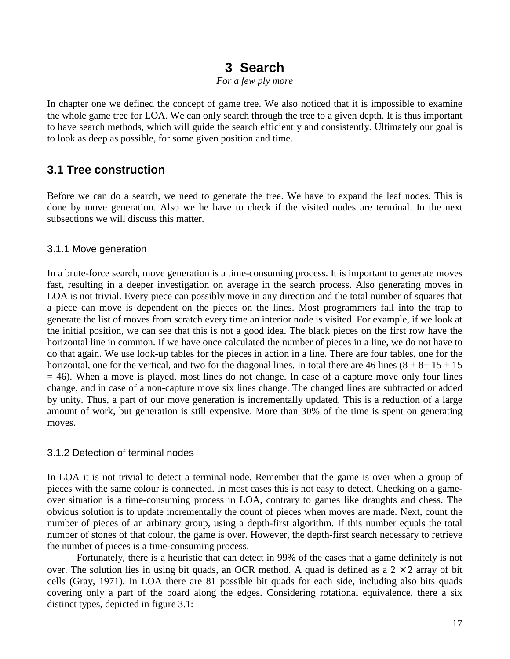### **3 Search**

*For a few ply more* 

In chapter one we defined the concept of game tree. We also noticed that it is impossible to examine the whole game tree for LOA. We can only search through the tree to a given depth. It is thus important to have search methods, which will guide the search efficiently and consistently. Ultimately our goal is to look as deep as possible, for some given position and time.

### **3.1 Tree construction**

Before we can do a search, we need to generate the tree. We have to expand the leaf nodes. This is done by move generation. Also we he have to check if the visited nodes are terminal. In the next subsections we will discuss this matter.

### 3.1.1 Move generation

In a brute-force search, move generation is a time-consuming process. It is important to generate moves fast, resulting in a deeper investigation on average in the search process. Also generating moves in LOA is not trivial. Every piece can possibly move in any direction and the total number of squares that a piece can move is dependent on the pieces on the lines. Most programmers fall into the trap to generate the list of moves from scratch every time an interior node is visited. For example, if we look at the initial position, we can see that this is not a good idea. The black pieces on the first row have the horizontal line in common. If we have once calculated the number of pieces in a line, we do not have to do that again. We use look-up tables for the pieces in action in a line. There are four tables, one for the horizontal, one for the vertical, and two for the diagonal lines. In total there are 46 lines  $(8 + 8 + 15 + 15)$  $= 46$ ). When a move is played, most lines do not change. In case of a capture move only four lines change, and in case of a non-capture move six lines change. The changed lines are subtracted or added by unity. Thus, a part of our move generation is incrementally updated. This is a reduction of a large amount of work, but generation is still expensive. More than 30% of the time is spent on generating moves.

### 3.1.2 Detection of terminal nodes

In LOA it is not trivial to detect a terminal node. Remember that the game is over when a group of pieces with the same colour is connected. In most cases this is not easy to detect. Checking on a gameover situation is a time-consuming process in LOA, contrary to games like draughts and chess. The obvious solution is to update incrementally the count of pieces when moves are made. Next, count the number of pieces of an arbitrary group, using a depth-first algorithm. If this number equals the total number of stones of that colour, the game is over. However, the depth-first search necessary to retrieve the number of pieces is a time-consuming process.

Fortunately, there is a heuristic that can detect in 99% of the cases that a game definitely is not over. The solution lies in using bit quads, an OCR method. A quad is defined as a  $2 \times 2$  array of bit cells (Gray, 1971). In LOA there are 81 possible bit quads for each side, including also bits quads covering only a part of the board along the edges. Considering rotational equivalence, there a six distinct types, depicted in figure 3.1: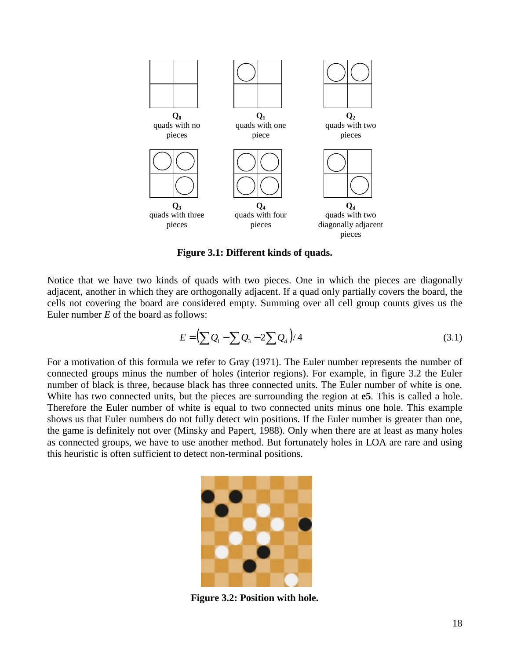

**Figure 3.1: Different kinds of quads.** 

Notice that we have two kinds of quads with two pieces. One in which the pieces are diagonally adjacent, another in which they are orthogonally adjacent. If a quad only partially covers the board, the cells not covering the board are considered empty. Summing over all cell group counts gives us the Euler number *E* of the board as follows:

$$
E = \left(\sum Q_1 - \sum Q_3 - 2\sum Q_d\right)/4\tag{3.1}
$$

For a motivation of this formula we refer to Gray (1971). The Euler number represents the number of connected groups minus the number of holes (interior regions). For example, in figure 3.2 the Euler number of black is three, because black has three connected units. The Euler number of white is one. White has two connected units, but the pieces are surrounding the region at **e5**. This is called a hole. Therefore the Euler number of white is equal to two connected units minus one hole. This example shows us that Euler numbers do not fully detect win positions. If the Euler number is greater than one, the game is definitely not over (Minsky and Papert, 1988). Only when there are at least as many holes as connected groups, we have to use another method. But fortunately holes in LOA are rare and using this heuristic is often sufficient to detect non-terminal positions.



**Figure 3.2: Position with hole.**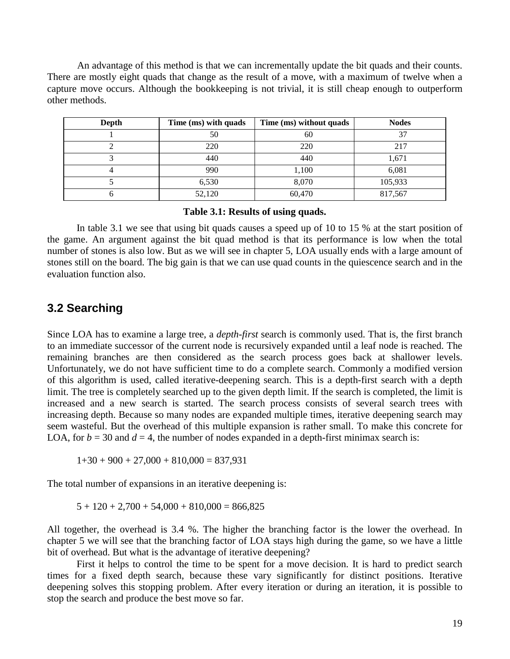An advantage of this method is that we can incrementally update the bit quads and their counts. There are mostly eight quads that change as the result of a move, with a maximum of twelve when a capture move occurs. Although the bookkeeping is not trivial, it is still cheap enough to outperform other methods.

| Depth | Time (ms) with quads | Time (ms) without quads | <b>Nodes</b> |
|-------|----------------------|-------------------------|--------------|
|       | 50                   | 60                      | 37           |
|       | 220                  | 220                     | 217          |
|       | 440                  | 440                     | 1,671        |
|       | 990                  | 1,100                   | 6,081        |
|       | 6,530                | 8,070                   | 105,933      |
|       | 52,120               | 60,470                  | 817,567      |

#### **Table 3.1: Results of using quads.**

In table 3.1 we see that using bit quads causes a speed up of 10 to 15 % at the start position of the game. An argument against the bit quad method is that its performance is low when the total number of stones is also low. But as we will see in chapter 5, LOA usually ends with a large amount of stones still on the board. The big gain is that we can use quad counts in the quiescence search and in the evaluation function also.

### **3.2 Searching**

Since LOA has to examine a large tree, a *depth-first* search is commonly used. That is, the first branch to an immediate successor of the current node is recursively expanded until a leaf node is reached. The remaining branches are then considered as the search process goes back at shallower levels. Unfortunately, we do not have sufficient time to do a complete search. Commonly a modified version of this algorithm is used, called iterative-deepening search. This is a depth-first search with a depth limit. The tree is completely searched up to the given depth limit. If the search is completed, the limit is increased and a new search is started. The search process consists of several search trees with increasing depth. Because so many nodes are expanded multiple times, iterative deepening search may seem wasteful. But the overhead of this multiple expansion is rather small. To make this concrete for LOA, for  $b = 30$  and  $d = 4$ , the number of nodes expanded in a depth-first minimax search is:

 $1+30 + 900 + 27{,}000 + 810{,}000 = 837{,}931$ 

The total number of expansions in an iterative deepening is:

 $5 + 120 + 2{,}700 + 54{,}000 + 810{,}000 = 866{,}825$ 

All together, the overhead is 3.4 %. The higher the branching factor is the lower the overhead. In chapter 5 we will see that the branching factor of LOA stays high during the game, so we have a little bit of overhead. But what is the advantage of iterative deepening?

 First it helps to control the time to be spent for a move decision. It is hard to predict search times for a fixed depth search, because these vary significantly for distinct positions. Iterative deepening solves this stopping problem. After every iteration or during an iteration, it is possible to stop the search and produce the best move so far.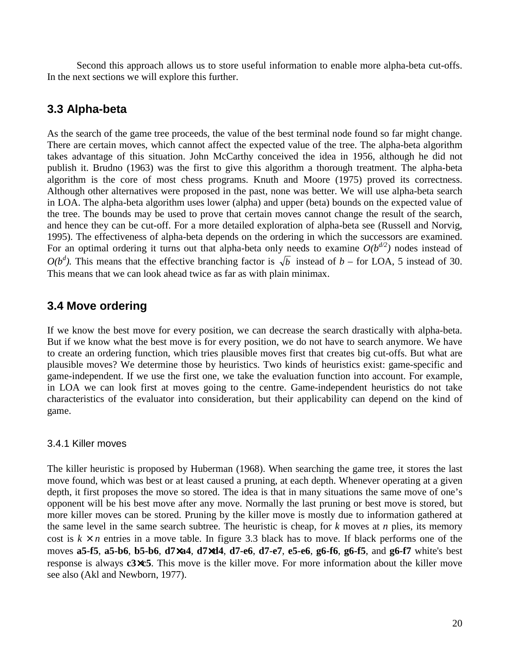Second this approach allows us to store useful information to enable more alpha-beta cut-offs. In the next sections we will explore this further.

### **3.3 Alpha-beta**

As the search of the game tree proceeds, the value of the best terminal node found so far might change. There are certain moves, which cannot affect the expected value of the tree. The alpha-beta algorithm takes advantage of this situation. John McCarthy conceived the idea in 1956, although he did not publish it. Brudno (1963) was the first to give this algorithm a thorough treatment. The alpha-beta algorithm is the core of most chess programs. Knuth and Moore (1975) proved its correctness. Although other alternatives were proposed in the past, none was better. We will use alpha-beta search in LOA. The alpha-beta algorithm uses lower (alpha) and upper (beta) bounds on the expected value of the tree. The bounds may be used to prove that certain moves cannot change the result of the search, and hence they can be cut-off. For a more detailed exploration of alpha-beta see (Russell and Norvig, 1995). The effectiveness of alpha-beta depends on the ordering in which the successors are examined. For an optimal ordering it turns out that alpha-beta only needs to examine  $O(b^{d/2})$  nodes instead of  $O(b^d)$ . This means that the effective branching factor is  $\sqrt{b}$  instead of *b* – for LOA, 5 instead of 30. This means that we can look ahead twice as far as with plain minimax.

### **3.4 Move ordering**

If we know the best move for every position, we can decrease the search drastically with alpha-beta. But if we know what the best move is for every position, we do not have to search anymore. We have to create an ordering function, which tries plausible moves first that creates big cut-offs. But what are plausible moves? We determine those by heuristics. Two kinds of heuristics exist: game-specific and game-independent. If we use the first one, we take the evaluation function into account. For example, in LOA we can look first at moves going to the centre. Game-independent heuristics do not take characteristics of the evaluator into consideration, but their applicability can depend on the kind of game.

### 3.4.1 Killer moves

The killer heuristic is proposed by Huberman (1968). When searching the game tree, it stores the last move found, which was best or at least caused a pruning, at each depth. Whenever operating at a given depth, it first proposes the move so stored. The idea is that in many situations the same move of one's opponent will be his best move after any move. Normally the last pruning or best move is stored, but more killer moves can be stored. Pruning by the killer move is mostly due to information gathered at the same level in the same search subtree. The heuristic is cheap, for *k* moves at *n* plies, its memory cost is  $k \times n$  entries in a move table. In figure 3.3 black has to move. If black performs one of the moves **a5-f5**, **a5-b6**, **b5-b6**, **d7**×**a4**, **d7**×**d4**, **d7-e6**, **d7-e7**, **e5-e6**, **g6-f6**, **g6-f5**, and **g6-f7** white's best response is always **c3**×**c5**. This move is the killer move. For more information about the killer move see also (Akl and Newborn, 1977).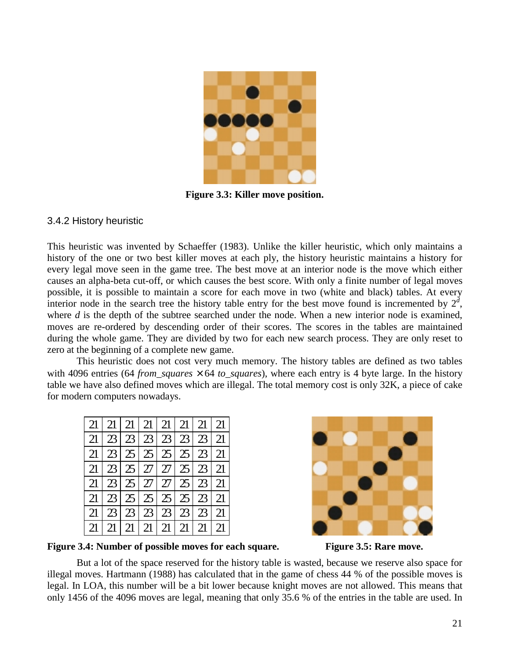

**Figure 3.3: Killer move position.** 

#### 3.4.2 History heuristic

This heuristic was invented by Schaeffer (1983). Unlike the killer heuristic, which only maintains a history of the one or two best killer moves at each ply, the history heuristic maintains a history for every legal move seen in the game tree. The best move at an interior node is the move which either causes an alpha-beta cut-off, or which causes the best score. With only a finite number of legal moves possible, it is possible to maintain a score for each move in two (white and black) tables. At every interior node in the search tree the history table entry for the best move found is incremented by  $2^d$ , where *d* is the depth of the subtree searched under the node. When a new interior node is examined, moves are re-ordered by descending order of their scores. The scores in the tables are maintained during the whole game. They are divided by two for each new search process. They are only reset to zero at the beginning of a complete new game.

 This heuristic does not cost very much memory. The history tables are defined as two tables with 4096 entries (64 *from\_squares*  $\times$  64 *to\_squares*), where each entry is 4 byte large. In the history table we have also defined moves which are illegal. The total memory cost is only 32K, a piece of cake for modern computers nowadays.

| 21 23 23 23 23 23 21    |  |  |  |  |
|-------------------------|--|--|--|--|
| 21 23 25 25 25 25 21    |  |  |  |  |
| 21 23 25 27 27 25 23 21 |  |  |  |  |
| 21 23 25 27 27 25 23 21 |  |  |  |  |
| 21 23 25 25 25 25 21    |  |  |  |  |
| 21 23 23 23 23 23 21    |  |  |  |  |
|                         |  |  |  |  |



**Figure 3.4: Number of possible moves for each square.** Figure 3.5: Rare move.

But a lot of the space reserved for the history table is wasted, because we reserve also space for illegal moves. Hartmann (1988) has calculated that in the game of chess 44 % of the possible moves is legal. In LOA, this number will be a bit lower because knight moves are not allowed. This means that only 1456 of the 4096 moves are legal, meaning that only 35.6 % of the entries in the table are used. In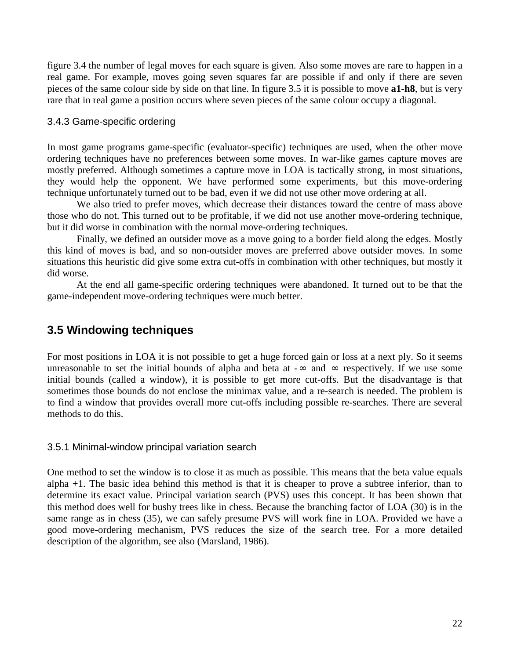figure 3.4 the number of legal moves for each square is given. Also some moves are rare to happen in a real game. For example, moves going seven squares far are possible if and only if there are seven pieces of the same colour side by side on that line. In figure 3.5 it is possible to move **a1-h8**, but is very rare that in real game a position occurs where seven pieces of the same colour occupy a diagonal.

### 3.4.3 Game-specific ordering

In most game programs game-specific (evaluator-specific) techniques are used, when the other move ordering techniques have no preferences between some moves. In war-like games capture moves are mostly preferred. Although sometimes a capture move in LOA is tactically strong, in most situations, they would help the opponent. We have performed some experiments, but this move-ordering technique unfortunately turned out to be bad, even if we did not use other move ordering at all.

We also tried to prefer moves, which decrease their distances toward the centre of mass above those who do not. This turned out to be profitable, if we did not use another move-ordering technique, but it did worse in combination with the normal move-ordering techniques.

 Finally, we defined an outsider move as a move going to a border field along the edges. Mostly this kind of moves is bad, and so non-outsider moves are preferred above outsider moves. In some situations this heuristic did give some extra cut-offs in combination with other techniques, but mostly it did worse.

 At the end all game-specific ordering techniques were abandoned. It turned out to be that the game-independent move-ordering techniques were much better.

### **3.5 Windowing techniques**

For most positions in LOA it is not possible to get a huge forced gain or loss at a next ply. So it seems unreasonable to set the initial bounds of alpha and beta at  $-\infty$  and  $\infty$  respectively. If we use some initial bounds (called a window), it is possible to get more cut-offs. But the disadvantage is that sometimes those bounds do not enclose the minimax value, and a re-search is needed. The problem is to find a window that provides overall more cut-offs including possible re-searches. There are several methods to do this.

3.5.1 Minimal-window principal variation search

One method to set the window is to close it as much as possible. This means that the beta value equals alpha +1. The basic idea behind this method is that it is cheaper to prove a subtree inferior, than to determine its exact value. Principal variation search (PVS) uses this concept. It has been shown that this method does well for bushy trees like in chess. Because the branching factor of LOA (30) is in the same range as in chess (35), we can safely presume PVS will work fine in LOA. Provided we have a good move-ordering mechanism, PVS reduces the size of the search tree. For a more detailed description of the algorithm, see also (Marsland, 1986).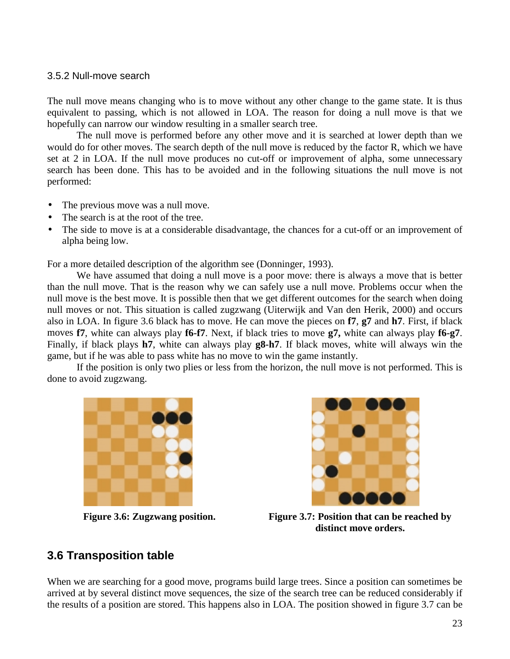#### 3.5.2 Null-move search

The null move means changing who is to move without any other change to the game state. It is thus equivalent to passing, which is not allowed in LOA. The reason for doing a null move is that we hopefully can narrow our window resulting in a smaller search tree.

 The null move is performed before any other move and it is searched at lower depth than we would do for other moves. The search depth of the null move is reduced by the factor R, which we have set at 2 in LOA. If the null move produces no cut-off or improvement of alpha, some unnecessary search has been done. This has to be avoided and in the following situations the null move is not performed:

- The previous move was a null move.
- The search is at the root of the tree.
- The side to move is at a considerable disadvantage, the chances for a cut-off or an improvement of alpha being low.

For a more detailed description of the algorithm see (Donninger, 1993).

We have assumed that doing a null move is a poor move: there is always a move that is better than the null move. That is the reason why we can safely use a null move. Problems occur when the null move is the best move. It is possible then that we get different outcomes for the search when doing null moves or not. This situation is called zugzwang (Uiterwijk and Van den Herik, 2000) and occurs also in LOA. In figure 3.6 black has to move. He can move the pieces on **f7**, **g7** and **h7**. First, if black moves **f7**, white can always play **f6-f7**. Next, if black tries to move **g7,** white can always play **f6-g7**. Finally, if black plays **h7**, white can always play **g8-h7**. If black moves, white will always win the game, but if he was able to pass white has no move to win the game instantly.

If the position is only two plies or less from the horizon, the null move is not performed. This is done to avoid zugzwang.





**Figure 3.6: Zugzwang position. Figure 3.7: Position that can be reached by distinct move orders.** 

### **3.6 Transposition table**

When we are searching for a good move, programs build large trees. Since a position can sometimes be arrived at by several distinct move sequences, the size of the search tree can be reduced considerably if the results of a position are stored. This happens also in LOA. The position showed in figure 3.7 can be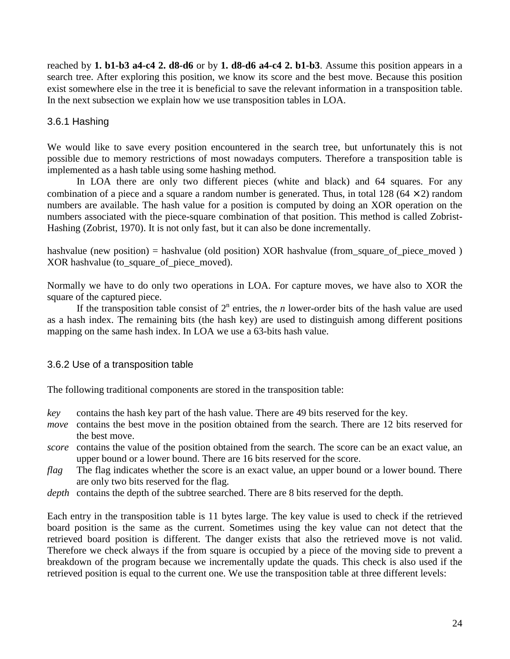reached by **1. b1-b3 a4-c4 2. d8-d6** or by **1. d8-d6 a4-c4 2. b1-b3**. Assume this position appears in a search tree. After exploring this position, we know its score and the best move. Because this position exist somewhere else in the tree it is beneficial to save the relevant information in a transposition table. In the next subsection we explain how we use transposition tables in LOA.

### 3.6.1 Hashing

We would like to save every position encountered in the search tree, but unfortunately this is not possible due to memory restrictions of most nowadays computers. Therefore a transposition table is implemented as a hash table using some hashing method.

In LOA there are only two different pieces (white and black) and 64 squares. For any combination of a piece and a square a random number is generated. Thus, in total 128 ( $64 \times 2$ ) random numbers are available. The hash value for a position is computed by doing an XOR operation on the numbers associated with the piece-square combination of that position. This method is called Zobrist-Hashing (Zobrist, 1970). It is not only fast, but it can also be done incrementally.

hashvalue (new position) = hashvalue (old position) XOR hashvalue (from\_square\_of\_piece\_moved ) XOR hashvalue (to\_square\_of\_piece\_moved).

Normally we have to do only two operations in LOA. For capture moves, we have also to XOR the square of the captured piece.

If the transposition table consist of  $2^n$  entries, the *n* lower-order bits of the hash value are used as a hash index. The remaining bits (the hash key) are used to distinguish among different positions mapping on the same hash index. In LOA we use a 63-bits hash value.

### 3.6.2 Use of a transposition table

The following traditional components are stored in the transposition table:

- *key* contains the hash key part of the hash value. There are 49 bits reserved for the key.
- *move* contains the best move in the position obtained from the search. There are 12 bits reserved for the best move.
- *score* contains the value of the position obtained from the search. The score can be an exact value, an upper bound or a lower bound. There are 16 bits reserved for the score.
- *flag* The flag indicates whether the score is an exact value, an upper bound or a lower bound. There are only two bits reserved for the flag.
- *depth* contains the depth of the subtree searched. There are 8 bits reserved for the depth.

Each entry in the transposition table is 11 bytes large. The key value is used to check if the retrieved board position is the same as the current. Sometimes using the key value can not detect that the retrieved board position is different. The danger exists that also the retrieved move is not valid. Therefore we check always if the from square is occupied by a piece of the moving side to prevent a breakdown of the program because we incrementally update the quads. This check is also used if the retrieved position is equal to the current one. We use the transposition table at three different levels: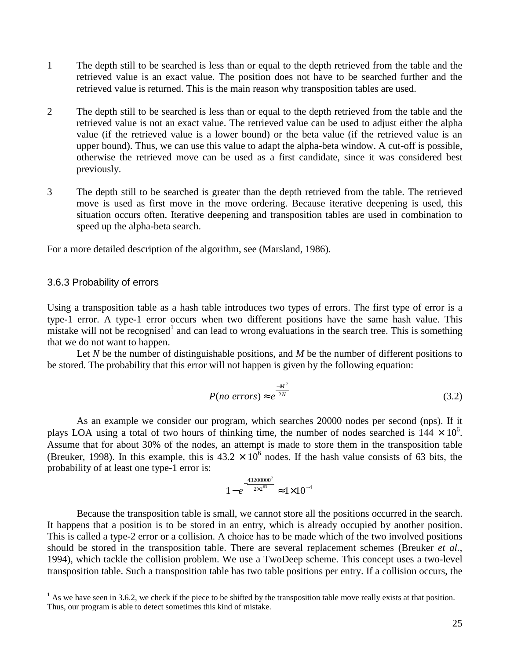- 1 The depth still to be searched is less than or equal to the depth retrieved from the table and the retrieved value is an exact value. The position does not have to be searched further and the retrieved value is returned. This is the main reason why transposition tables are used.
- 2 The depth still to be searched is less than or equal to the depth retrieved from the table and the retrieved value is not an exact value. The retrieved value can be used to adjust either the alpha value (if the retrieved value is a lower bound) or the beta value (if the retrieved value is an upper bound). Thus, we can use this value to adapt the alpha-beta window. A cut-off is possible, otherwise the retrieved move can be used as a first candidate, since it was considered best previously.
- 3 The depth still to be searched is greater than the depth retrieved from the table. The retrieved move is used as first move in the move ordering. Because iterative deepening is used, this situation occurs often. Iterative deepening and transposition tables are used in combination to speed up the alpha-beta search.

For a more detailed description of the algorithm, see (Marsland, 1986).

#### 3.6.3 Probability of errors

 $\overline{a}$ 

Using a transposition table as a hash table introduces two types of errors. The first type of error is a type-1 error. A type-1 error occurs when two different positions have the same hash value. This  $\frac{1}{2}$  mistake will not be recognised<sup>1</sup> and can lead to wrong evaluations in the search tree. This is something that we do not want to happen.

Let *N* be the number of distinguishable positions, and *M* be the number of different positions to be stored. The probability that this error will not happen is given by the following equation:

$$
P(no\ errors) \approx e^{\frac{-M^2}{2N}} \tag{3.2}
$$

As an example we consider our program, which searches 20000 nodes per second (nps). If it plays LOA using a total of two hours of thinking time, the number of nodes searched is  $144 \times 10^6$ . Assume that for about 30% of the nodes, an attempt is made to store them in the transposition table (Breuker, 1998). In this example, this is  $43.2 \times 10^6$  nodes. If the hash value consists of 63 bits, the probability of at least one type-1 error is:

$$
1 - e^{-\frac{43200000^2}{2 \times 2^{63}}} \approx 1 \times 10^{-4}
$$

Because the transposition table is small, we cannot store all the positions occurred in the search. It happens that a position is to be stored in an entry, which is already occupied by another position. This is called a type-2 error or a collision. A choice has to be made which of the two involved positions should be stored in the transposition table. There are several replacement schemes (Breuker *et al.*, 1994), which tackle the collision problem. We use a TwoDeep scheme. This concept uses a two-level transposition table. Such a transposition table has two table positions per entry. If a collision occurs, the

 $<sup>1</sup>$  As we have seen in 3.6.2, we check if the piece to be shifted by the transposition table move really exists at that position.</sup> Thus, our program is able to detect sometimes this kind of mistake.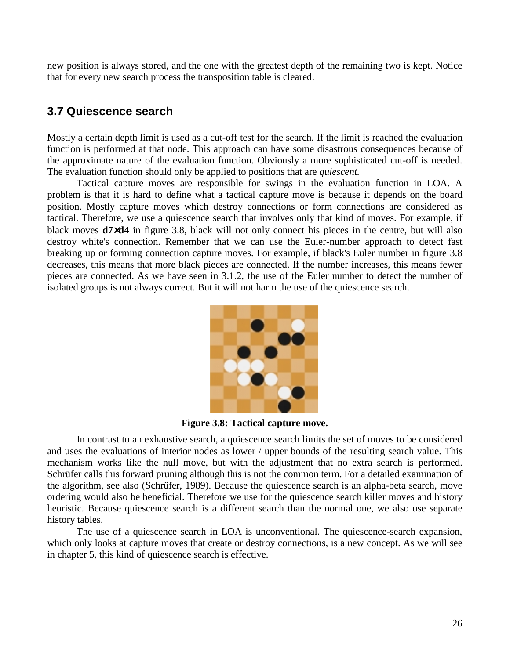new position is always stored, and the one with the greatest depth of the remaining two is kept. Notice that for every new search process the transposition table is cleared.

### **3.7 Quiescence search**

Mostly a certain depth limit is used as a cut-off test for the search. If the limit is reached the evaluation function is performed at that node. This approach can have some disastrous consequences because of the approximate nature of the evaluation function. Obviously a more sophisticated cut-off is needed. The evaluation function should only be applied to positions that are *quiescent.* 

Tactical capture moves are responsible for swings in the evaluation function in LOA. A problem is that it is hard to define what a tactical capture move is because it depends on the board position. Mostly capture moves which destroy connections or form connections are considered as tactical. Therefore, we use a quiescence search that involves only that kind of moves. For example, if black moves **d7**×**d4** in figure 3.8, black will not only connect his pieces in the centre, but will also destroy white's connection. Remember that we can use the Euler-number approach to detect fast breaking up or forming connection capture moves. For example, if black's Euler number in figure 3.8 decreases, this means that more black pieces are connected. If the number increases, this means fewer pieces are connected. As we have seen in 3.1.2, the use of the Euler number to detect the number of isolated groups is not always correct. But it will not harm the use of the quiescence search.



**Figure 3.8: Tactical capture move.** 

In contrast to an exhaustive search, a quiescence search limits the set of moves to be considered and uses the evaluations of interior nodes as lower / upper bounds of the resulting search value. This mechanism works like the null move, but with the adjustment that no extra search is performed. Schrüfer calls this forward pruning although this is not the common term. For a detailed examination of the algorithm, see also (Schrüfer, 1989). Because the quiescence search is an alpha-beta search, move ordering would also be beneficial. Therefore we use for the quiescence search killer moves and history heuristic. Because quiescence search is a different search than the normal one, we also use separate history tables.

The use of a quiescence search in LOA is unconventional. The quiescence-search expansion, which only looks at capture moves that create or destroy connections, is a new concept. As we will see in chapter 5, this kind of quiescence search is effective.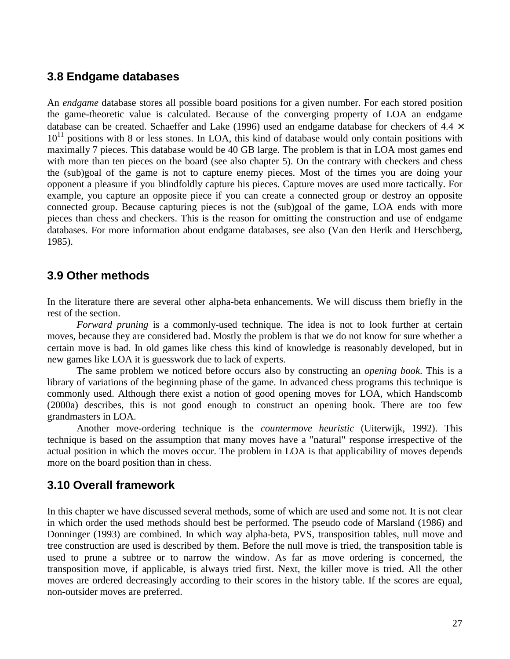### **3.8 Endgame databases**

An *endgame* database stores all possible board positions for a given number. For each stored position the game-theoretic value is calculated. Because of the converging property of LOA an endgame database can be created. Schaeffer and Lake (1996) used an endgame database for checkers of 4.4  $\times$  $10^{11}$  positions with 8 or less stones. In LOA, this kind of database would only contain positions with maximally 7 pieces. This database would be 40 GB large. The problem is that in LOA most games end with more than ten pieces on the board (see also chapter 5). On the contrary with checkers and chess the (sub)goal of the game is not to capture enemy pieces. Most of the times you are doing your opponent a pleasure if you blindfoldly capture his pieces. Capture moves are used more tactically. For example, you capture an opposite piece if you can create a connected group or destroy an opposite connected group. Because capturing pieces is not the (sub)goal of the game, LOA ends with more pieces than chess and checkers. This is the reason for omitting the construction and use of endgame databases. For more information about endgame databases, see also (Van den Herik and Herschberg, 1985).

### **3.9 Other methods**

In the literature there are several other alpha-beta enhancements. We will discuss them briefly in the rest of the section.

*Forward pruning* is a commonly-used technique. The idea is not to look further at certain moves, because they are considered bad. Mostly the problem is that we do not know for sure whether a certain move is bad. In old games like chess this kind of knowledge is reasonably developed, but in new games like LOA it is guesswork due to lack of experts.

 The same problem we noticed before occurs also by constructing an *opening book*. This is a library of variations of the beginning phase of the game. In advanced chess programs this technique is commonly used. Although there exist a notion of good opening moves for LOA, which Handscomb (2000a) describes, this is not good enough to construct an opening book. There are too few grandmasters in LOA.

 Another move-ordering technique is the *countermove heuristic* (Uiterwijk, 1992). This technique is based on the assumption that many moves have a "natural" response irrespective of the actual position in which the moves occur. The problem in LOA is that applicability of moves depends more on the board position than in chess.

### **3.10 Overall framework**

In this chapter we have discussed several methods, some of which are used and some not. It is not clear in which order the used methods should best be performed. The pseudo code of Marsland (1986) and Donninger (1993) are combined. In which way alpha-beta, PVS, transposition tables, null move and tree construction are used is described by them. Before the null move is tried, the transposition table is used to prune a subtree or to narrow the window. As far as move ordering is concerned, the transposition move, if applicable, is always tried first. Next, the killer move is tried. All the other moves are ordered decreasingly according to their scores in the history table. If the scores are equal, non-outsider moves are preferred.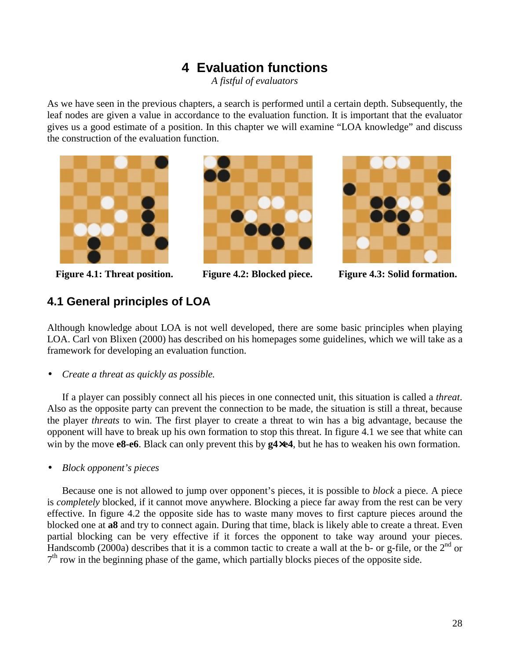# **4 Evaluation functions**

*A fistful of evaluators* 

As we have seen in the previous chapters, a search is performed until a certain depth. Subsequently, the leaf nodes are given a value in accordance to the evaluation function. It is important that the evaluator gives us a good estimate of a position. In this chapter we will examine "LOA knowledge" and discuss the construction of the evaluation function.







Figure 4.1: Threat position. Figure 4.2: Blocked piece. Figure 4.3: Solid formation.

### **4.1 General principles of LOA**

Although knowledge about LOA is not well developed, there are some basic principles when playing LOA. Carl von Blixen (2000) has described on his homepages some guidelines, which we will take as a framework for developing an evaluation function.

• *Create a threat as quickly as possible.*

If a player can possibly connect all his pieces in one connected unit, this situation is called a *threat*. Also as the opposite party can prevent the connection to be made, the situation is still a threat, because the player *threats* to win. The first player to create a threat to win has a big advantage, because the opponent will have to break up his own formation to stop this threat. In figure 4.1 we see that white can win by the move **e8-e6**. Black can only prevent this by **g4**×**e4**, but he has to weaken his own formation.

• *Block opponent's pieces* 

Because one is not allowed to jump over opponent's pieces, it is possible to *block* a piece. A piece is *completely* blocked, if it cannot move anywhere. Blocking a piece far away from the rest can be very effective. In figure 4.2 the opposite side has to waste many moves to first capture pieces around the blocked one at **a8** and try to connect again. During that time, black is likely able to create a threat. Even partial blocking can be very effective if it forces the opponent to take way around your pieces. Handscomb (2000a) describes that it is a common tactic to create a wall at the b- or g-file, or the  $2^{nd}$  or  $7<sup>th</sup>$  row in the beginning phase of the game, which partially blocks pieces of the opposite side.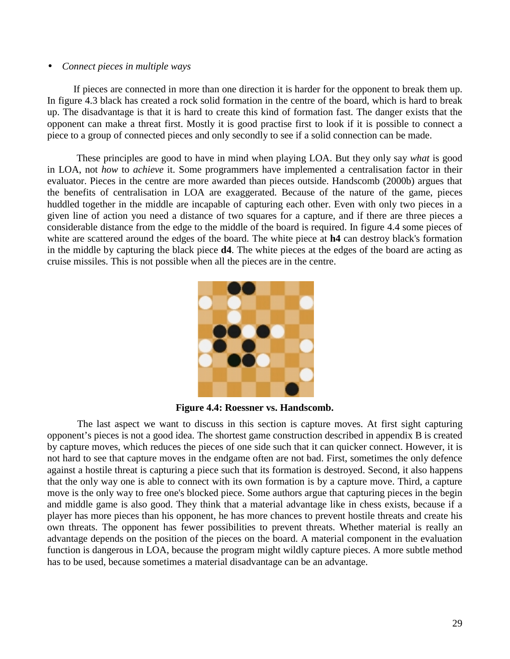#### • *Connect pieces in multiple ways*

If pieces are connected in more than one direction it is harder for the opponent to break them up. In figure 4.3 black has created a rock solid formation in the centre of the board, which is hard to break up. The disadvantage is that it is hard to create this kind of formation fast. The danger exists that the opponent can make a threat first. Mostly it is good practise first to look if it is possible to connect a piece to a group of connected pieces and only secondly to see if a solid connection can be made.

 These principles are good to have in mind when playing LOA. But they only say *what* is good in LOA, not *how* to *achieve* it. Some programmers have implemented a centralisation factor in their evaluator. Pieces in the centre are more awarded than pieces outside. Handscomb (2000b) argues that the benefits of centralisation in LOA are exaggerated. Because of the nature of the game, pieces huddled together in the middle are incapable of capturing each other. Even with only two pieces in a given line of action you need a distance of two squares for a capture, and if there are three pieces a considerable distance from the edge to the middle of the board is required. In figure 4.4 some pieces of white are scattered around the edges of the board. The white piece at **h4** can destroy black's formation in the middle by capturing the black piece **d4**. The white pieces at the edges of the board are acting as cruise missiles. This is not possible when all the pieces are in the centre.



**Figure 4.4: Roessner vs. Handscomb.** 

The last aspect we want to discuss in this section is capture moves. At first sight capturing opponent's pieces is not a good idea. The shortest game construction described in appendix B is created by capture moves, which reduces the pieces of one side such that it can quicker connect. However, it is not hard to see that capture moves in the endgame often are not bad. First, sometimes the only defence against a hostile threat is capturing a piece such that its formation is destroyed. Second, it also happens that the only way one is able to connect with its own formation is by a capture move. Third, a capture move is the only way to free one's blocked piece. Some authors argue that capturing pieces in the begin and middle game is also good. They think that a material advantage like in chess exists, because if a player has more pieces than his opponent, he has more chances to prevent hostile threats and create his own threats. The opponent has fewer possibilities to prevent threats. Whether material is really an advantage depends on the position of the pieces on the board. A material component in the evaluation function is dangerous in LOA, because the program might wildly capture pieces. A more subtle method has to be used, because sometimes a material disadvantage can be an advantage.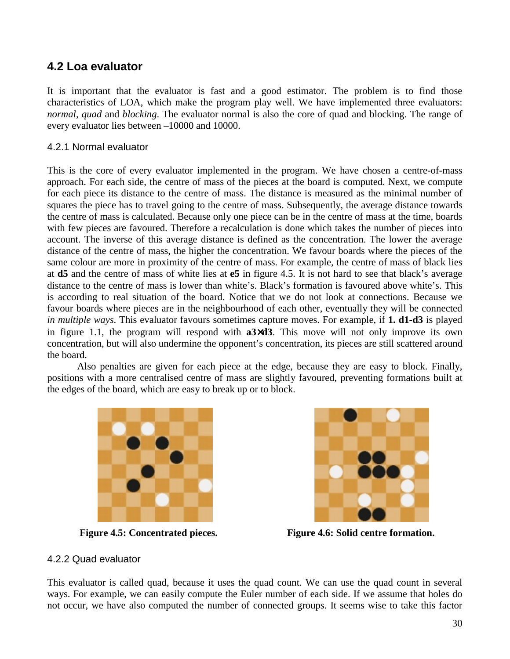### **4.2 Loa evaluator**

It is important that the evaluator is fast and a good estimator. The problem is to find those characteristics of LOA, which make the program play well. We have implemented three evaluators: *normal*, *quad* and *blocking*. The evaluator normal is also the core of quad and blocking. The range of every evaluator lies between –10000 and 10000.

### 4.2.1 Normal evaluator

This is the core of every evaluator implemented in the program. We have chosen a centre-of-mass approach. For each side, the centre of mass of the pieces at the board is computed. Next, we compute for each piece its distance to the centre of mass. The distance is measured as the minimal number of squares the piece has to travel going to the centre of mass. Subsequently, the average distance towards the centre of mass is calculated. Because only one piece can be in the centre of mass at the time, boards with few pieces are favoured. Therefore a recalculation is done which takes the number of pieces into account. The inverse of this average distance is defined as the concentration. The lower the average distance of the centre of mass, the higher the concentration. We favour boards where the pieces of the same colour are more in proximity of the centre of mass. For example, the centre of mass of black lies at **d5** and the centre of mass of white lies at **e5** in figure 4.5. It is not hard to see that black's average distance to the centre of mass is lower than white's. Black's formation is favoured above white's. This is according to real situation of the board. Notice that we do not look at connections. Because we favour boards where pieces are in the neighbourhood of each other, eventually they will be connected *in multiple ways*. This evaluator favours sometimes capture moves. For example, if **1. d1-d3** is played in figure 1.1, the program will respond with **a3**×**d3**. This move will not only improve its own concentration, but will also undermine the opponent's concentration, its pieces are still scattered around the board.

Also penalties are given for each piece at the edge, because they are easy to block. Finally, positions with a more centralised centre of mass are slightly favoured, preventing formations built at the edges of the board, which are easy to break up or to block.





**Figure 4.5: Concentrated pieces. Figure 4.6: Solid centre formation.** 

### 4.2.2 Quad evaluator

This evaluator is called quad, because it uses the quad count. We can use the quad count in several ways. For example, we can easily compute the Euler number of each side. If we assume that holes do not occur, we have also computed the number of connected groups. It seems wise to take this factor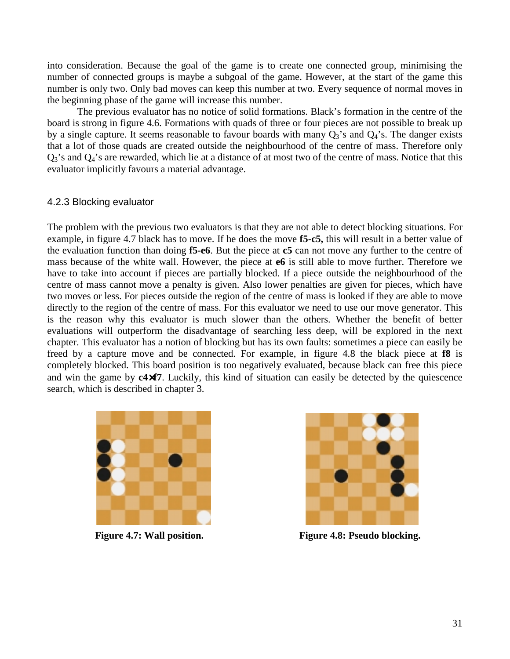into consideration. Because the goal of the game is to create one connected group, minimising the number of connected groups is maybe a subgoal of the game. However, at the start of the game this number is only two. Only bad moves can keep this number at two. Every sequence of normal moves in the beginning phase of the game will increase this number.

The previous evaluator has no notice of solid formations. Black's formation in the centre of the board is strong in figure 4.6. Formations with quads of three or four pieces are not possible to break up by a single capture. It seems reasonable to favour boards with many  $Q_3$ 's and  $Q_4$ 's. The danger exists that a lot of those quads are created outside the neighbourhood of the centre of mass. Therefore only  $Q_3$ 's and  $Q_4$ 's are rewarded, which lie at a distance of at most two of the centre of mass. Notice that this evaluator implicitly favours a material advantage.

#### 4.2.3 Blocking evaluator

The problem with the previous two evaluators is that they are not able to detect blocking situations. For example, in figure 4.7 black has to move. If he does the move **f5-c5,** this will result in a better value of the evaluation function than doing **f5-e6**. But the piece at **c5** can not move any further to the centre of mass because of the white wall. However, the piece at **e6** is still able to move further. Therefore we have to take into account if pieces are partially blocked. If a piece outside the neighbourhood of the centre of mass cannot move a penalty is given. Also lower penalties are given for pieces, which have two moves or less. For pieces outside the region of the centre of mass is looked if they are able to move directly to the region of the centre of mass. For this evaluator we need to use our move generator. This is the reason why this evaluator is much slower than the others. Whether the benefit of better evaluations will outperform the disadvantage of searching less deep, will be explored in the next chapter. This evaluator has a notion of blocking but has its own faults: sometimes a piece can easily be freed by a capture move and be connected. For example, in figure 4.8 the black piece at **f8** is completely blocked. This board position is too negatively evaluated, because black can free this piece and win the game by **c4**×**f7**. Luckily, this kind of situation can easily be detected by the quiescence search, which is described in chapter 3.





Figure 4.7: Wall position. **Figure 4.8: Pseudo blocking.**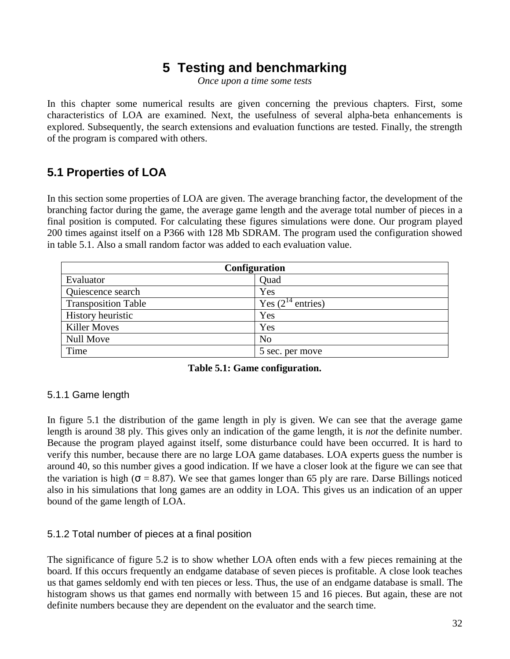# **5 Testing and benchmarking**

*Once upon a time some tests* 

In this chapter some numerical results are given concerning the previous chapters. First, some characteristics of LOA are examined. Next, the usefulness of several alpha-beta enhancements is explored. Subsequently, the search extensions and evaluation functions are tested. Finally, the strength of the program is compared with others.

### **5.1 Properties of LOA**

In this section some properties of LOA are given. The average branching factor, the development of the branching factor during the game, the average game length and the average total number of pieces in a final position is computed. For calculating these figures simulations were done. Our program played 200 times against itself on a P366 with 128 Mb SDRAM. The program used the configuration showed in table 5.1. Also a small random factor was added to each evaluation value.

| <b>Configuration</b>       |                        |  |  |  |  |
|----------------------------|------------------------|--|--|--|--|
| Evaluator                  | Quad                   |  |  |  |  |
| Quiescence search          | Yes                    |  |  |  |  |
| <b>Transposition Table</b> | Yes $(2^{14}$ entries) |  |  |  |  |
| History heuristic          | Yes                    |  |  |  |  |
| <b>Killer Moves</b>        | Yes                    |  |  |  |  |
| Null Move                  | N <sub>o</sub>         |  |  |  |  |
| Time                       | 5 sec. per move        |  |  |  |  |

#### **Table 5.1: Game configuration.**

### 5.1.1 Game length

In figure 5.1 the distribution of the game length in ply is given. We can see that the average game length is around 38 ply. This gives only an indication of the game length, it is *not* the definite number. Because the program played against itself, some disturbance could have been occurred. It is hard to verify this number, because there are no large LOA game databases. LOA experts guess the number is around 40, so this number gives a good indication. If we have a closer look at the figure we can see that the variation is high ( $\sigma = 8.87$ ). We see that games longer than 65 ply are rare. Darse Billings noticed also in his simulations that long games are an oddity in LOA. This gives us an indication of an upper bound of the game length of LOA.

### 5.1.2 Total number of pieces at a final position

The significance of figure 5.2 is to show whether LOA often ends with a few pieces remaining at the board. If this occurs frequently an endgame database of seven pieces is profitable. A close look teaches us that games seldomly end with ten pieces or less. Thus, the use of an endgame database is small. The histogram shows us that games end normally with between 15 and 16 pieces. But again, these are not definite numbers because they are dependent on the evaluator and the search time.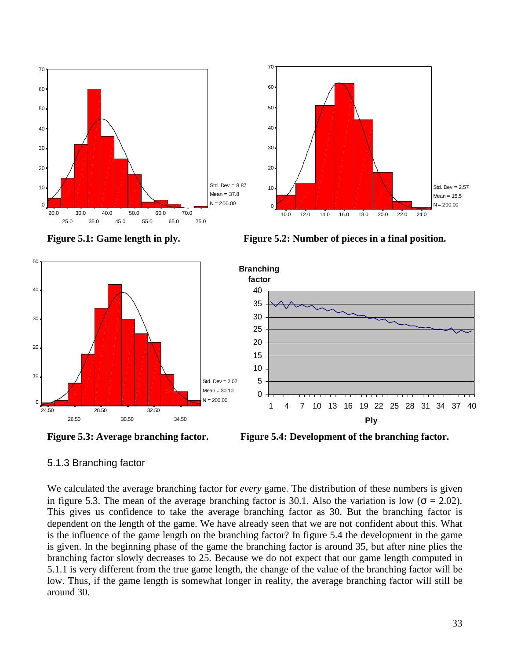

Figure 5.1: Game length in ply. Figure 5.2: Number of pieces in a final position.







### 5.1.3 Branching factor

We calculated the average branching factor for *every* game. The distribution of these numbers is given in figure 5.3. The mean of the average branching factor is 30.1. Also the variation is low ( $\sigma = 2.02$ ). This gives us confidence to take the average branching factor as 30. But the branching factor is dependent on the length of the game. We have already seen that we are not confident about this. What is the influence of the game length on the branching factor? In figure 5.4 the development in the game is given. In the beginning phase of the game the branching factor is around 35, but after nine plies the branching factor slowly decreases to 25. Because we do not expect that our game length computed in 5.1.1 is very different from the true game length, the change of the value of the branching factor will be low. Thus, if the game length is somewhat longer in reality, the average branching factor will still be around 30.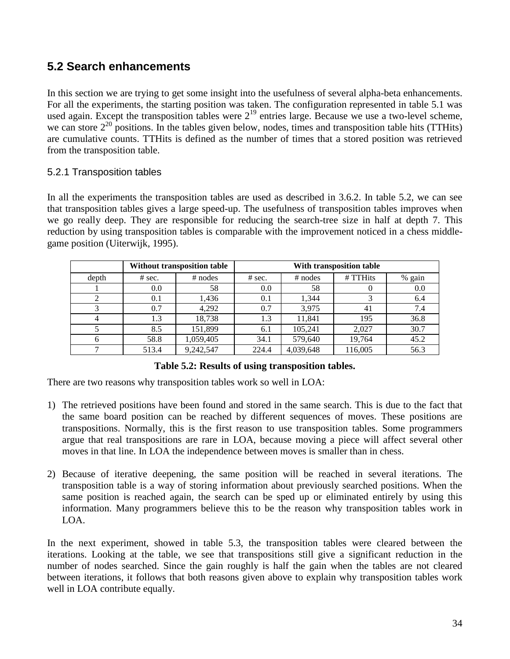### **5.2 Search enhancements**

In this section we are trying to get some insight into the usefulness of several alpha-beta enhancements. For all the experiments, the starting position was taken. The configuration represented in table 5.1 was used again. Except the transposition tables were  $2^{19}$  entries large. Because we use a two-level scheme, we can store  $2^{20}$  positions. In the tables given below, nodes, times and transposition table hits (TTHits) are cumulative counts. TTHits is defined as the number of times that a stored position was retrieved from the transposition table.

### 5.2.1 Transposition tables

In all the experiments the transposition tables are used as described in 3.6.2. In table 5.2, we can see that transposition tables gives a large speed-up. The usefulness of transposition tables improves when we go really deep. They are responsible for reducing the search-tree size in half at depth 7. This reduction by using transposition tables is comparable with the improvement noticed in a chess middlegame position (Uiterwijk, 1995).

|       |          | Without transposition table | With transposition table |           |          |        |
|-------|----------|-----------------------------|--------------------------|-----------|----------|--------|
| depth | $#$ sec. | $#$ nodes                   | $#$ sec.                 | $#$ nodes | # TTHits | % gain |
|       | 0.0      | 58                          | 0.0                      | 58        |          | 0.0    |
|       | 0.1      | 1.436                       | 0.1                      | 1.344     |          | 6.4    |
|       | 0.7      | 4.292                       | 0.7                      | 3.975     | 41       | 7.4    |
| 4     | 1.3      | 18,738                      | 1.3                      | 11,841    | 195      | 36.8   |
|       | 8.5      | 151.899                     | 6.1                      | 105,241   | 2.027    | 30.7   |
| h     | 58.8     | 1,059,405                   | 34.1                     | 579,640   | 19,764   | 45.2   |
|       | 513.4    | 9,242,547                   | 224.4                    | 4,039,648 | 116,005  | 56.3   |

**Table 5.2: Results of using transposition tables.** 

There are two reasons why transposition tables work so well in LOA:

- 1) The retrieved positions have been found and stored in the same search. This is due to the fact that the same board position can be reached by different sequences of moves. These positions are transpositions. Normally, this is the first reason to use transposition tables. Some programmers argue that real transpositions are rare in LOA, because moving a piece will affect several other moves in that line. In LOA the independence between moves is smaller than in chess.
- 2) Because of iterative deepening, the same position will be reached in several iterations. The transposition table is a way of storing information about previously searched positions. When the same position is reached again, the search can be sped up or eliminated entirely by using this information. Many programmers believe this to be the reason why transposition tables work in LOA.

In the next experiment, showed in table 5.3, the transposition tables were cleared between the iterations. Looking at the table, we see that transpositions still give a significant reduction in the number of nodes searched. Since the gain roughly is half the gain when the tables are not cleared between iterations, it follows that both reasons given above to explain why transposition tables work well in LOA contribute equally.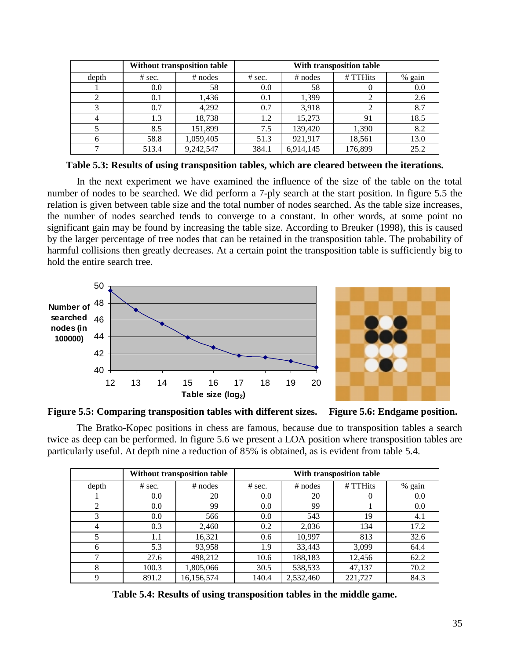|       |          | Without transposition table | With transposition table |           |          |        |  |
|-------|----------|-----------------------------|--------------------------|-----------|----------|--------|--|
| depth | $#$ sec. | $#$ nodes                   | $#$ sec.                 | $#$ nodes | # TTHits | % gain |  |
|       | 0.0      | 58                          | 0.0                      | 58        |          | 0.0    |  |
|       | 0.1      | 1,436                       | 0.1                      | 1,399     |          | 2.6    |  |
|       | 0.7      | 4,292                       | 0.7                      | 3,918     |          | 8.7    |  |
|       | 1.3      | 18,738                      | 1.2                      | 15.273    | 91       | 18.5   |  |
|       | 8.5      | 151,899                     | 7.5                      | 139,420   | 1,390    | 8.2    |  |
| h     | 58.8     | 1,059,405                   | 51.3                     | 921,917   | 18,561   | 13.0   |  |
|       | 513.4    | 9,242,547                   | 384.1                    | 6,914,145 | 176,899  | 25.2   |  |

**Table 5.3: Results of using transposition tables, which are cleared between the iterations.** 

In the next experiment we have examined the influence of the size of the table on the total number of nodes to be searched. We did perform a 7-ply search at the start position. In figure 5.5 the relation is given between table size and the total number of nodes searched. As the table size increases, the number of nodes searched tends to converge to a constant. In other words, at some point no significant gain may be found by increasing the table size. According to Breuker (1998), this is caused by the larger percentage of tree nodes that can be retained in the transposition table. The probability of harmful collisions then greatly decreases. At a certain point the transposition table is sufficiently big to hold the entire search tree.



**Figure 5.5: Comparing transposition tables with different sizes. Figure 5.6: Endgame position.** 

The Bratko-Kopec positions in chess are famous, because due to transposition tables a search twice as deep can be performed. In figure 5.6 we present a LOA position where transposition tables are particularly useful. At depth nine a reduction of 85% is obtained, as is evident from table 5.4.

|       |          | Without transposition table | With transposition table |           |          |        |
|-------|----------|-----------------------------|--------------------------|-----------|----------|--------|
| depth | $#$ sec. | $#$ nodes                   | $#$ sec.                 | $#$ nodes | # TTHits | % gain |
|       | 0.0      | 20                          | 0.0                      | 20        | $\theta$ | 0.0    |
| 2     | 0.0      | 99                          | 0.0                      | 99        |          | 0.0    |
| 3     | 0.0      | 566                         | 0.0                      | 543       | 19       | 4.1    |
| 4     | 0.3      | 2,460                       | 0.2                      | 2,036     | 134      | 17.2   |
|       | 1.1      | 16,321                      | 0.6                      | 10,997    | 813      | 32.6   |
| 6     | 5.3      | 93,958                      | 1.9                      | 33,443    | 3,099    | 64.4   |
| ⇁     | 27.6     | 498,212                     | 10.6                     | 188,183   | 12,456   | 62.2   |
| 8     | 100.3    | 1,805,066                   | 30.5                     | 538,533   | 47,137   | 70.2   |
| 9     | 891.2    | 16,156,574                  | 140.4                    | 2,532,460 | 221,727  | 84.3   |

**Table 5.4: Results of using transposition tables in the middle game.**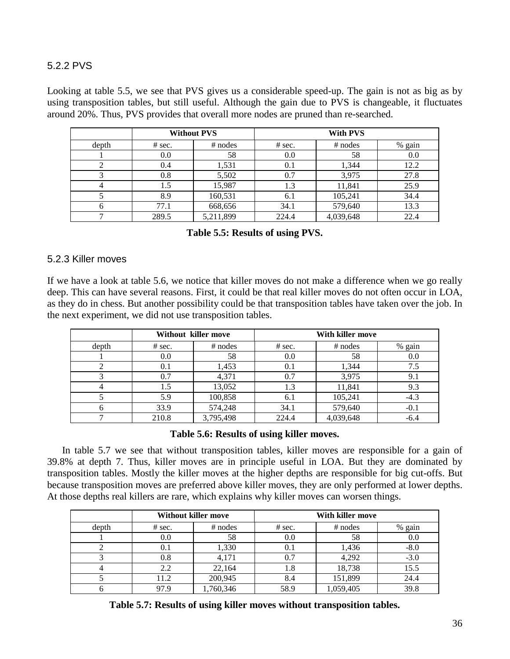### 5.2.2 PVS

Looking at table 5.5, we see that PVS gives us a considerable speed-up. The gain is not as big as by using transposition tables, but still useful. Although the gain due to PVS is changeable, it fluctuates around 20%. Thus, PVS provides that overall more nodes are pruned than re-searched.

|       | <b>Without PVS</b> |           |        |           |        |
|-------|--------------------|-----------|--------|-----------|--------|
| depth | $#$ sec.           | $#$ nodes | # sec. | $#$ nodes | % gain |
|       | 0.0                | 58        | 0.0    | 58        | 0.0    |
|       | 0.4                | 1,531     | 0.1    | 1,344     | 12.2   |
|       | 0.8                | 5,502     | 0.7    | 3,975     | 27.8   |
|       | 1.5                | 15,987    | 1.3    | 11,841    | 25.9   |
|       | 8.9                | 160,531   | 6.1    | 105,241   | 34.4   |
| h     | 77.1               | 668,656   | 34.1   | 579,640   | 13.3   |
|       | 289.5              | 5,211,899 | 224.4  | 4,039,648 | 22.4   |

**Table 5.5: Results of using PVS.** 

#### 5.2.3 Killer moves

If we have a look at table 5.6, we notice that killer moves do not make a difference when we go really deep. This can have several reasons. First, it could be that real killer moves do not often occur in LOA, as they do in chess. But another possibility could be that transposition tables have taken over the job. In the next experiment, we did not use transposition tables.

|       | Without killer move |           | With killer move |           |        |
|-------|---------------------|-----------|------------------|-----------|--------|
| depth | $#$ sec.            | $#$ nodes | $#$ sec.         | $#$ nodes | % gain |
|       | 0.0                 | 58        | 0.0              | 58        | 0.0    |
|       | 0.1                 | 1,453     | 0.1              | 1,344     | 7.5    |
|       | 0.7                 | 4,371     | 0.7              | 3,975     | 9.1    |
|       | 1.5                 | 13,052    | 1.3              | 11,841    | 9.3    |
|       | 5.9                 | 100,858   | 6.1              | 105,241   | $-4.3$ |
| n     | 33.9                | 574,248   | 34.1             | 579,640   | $-0.1$ |
|       | 210.8               | 3,795,498 | 224.4            | 4,039,648 | $-6.4$ |

#### **Table 5.6: Results of using killer moves.**

In table 5.7 we see that without transposition tables, killer moves are responsible for a gain of 39.8% at depth 7. Thus, killer moves are in principle useful in LOA. But they are dominated by transposition tables. Mostly the killer moves at the higher depths are responsible for big cut-offs. But because transposition moves are preferred above killer moves, they are only performed at lower depths. At those depths real killers are rare, which explains why killer moves can worsen things.

|       |          | <b>Without killer move</b> |          | With killer move |        |
|-------|----------|----------------------------|----------|------------------|--------|
| depth | $#$ sec. | $#$ nodes                  | $#$ sec. | $#$ nodes        | % gain |
|       | 0.0      | 58                         | 0.0      | 58               | 0.0    |
|       | 0.1      | 1,330                      | 0.1      | 1,436            | $-8.0$ |
|       | 0.8      | 4,171                      | 0.7      | 4,292            | $-3.0$ |
|       | 2.2      | 22,164                     | 1.8      | 18,738           | 15.5   |
|       | 11.2     | 200,945                    | 8.4      | 151,899          | 24.4   |
|       | 97.9     | 1,760,346                  | 58.9     | 1,059,405        | 39.8   |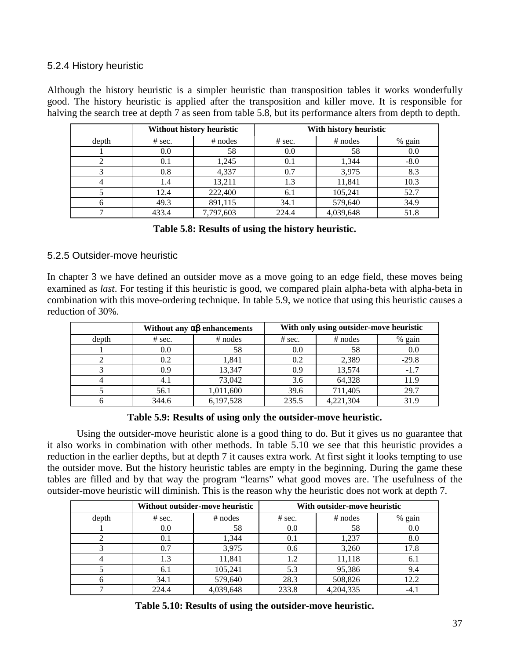### 5.2.4 History heuristic

Although the history heuristic is a simpler heuristic than transposition tables it works wonderfully good. The history heuristic is applied after the transposition and killer move. It is responsible for halving the search tree at depth 7 as seen from table 5.8, but its performance alters from depth to depth.

|       |          | Without history heuristic | With history heuristic |           |        |
|-------|----------|---------------------------|------------------------|-----------|--------|
| depth | $#$ sec. | $#$ nodes                 | # sec.                 | $#$ nodes | % gain |
|       | 0.0      | 58                        | 0.0                    | 58        | 0.0    |
|       | 0.1      | 1,245                     | 0.1                    | 1,344     | $-8.0$ |
|       | 0.8      | 4,337                     | 0.7                    | 3,975     | 8.3    |
|       | 1.4      | 13.211                    | 1.3                    | 11,841    | 10.3   |
|       | 12.4     | 222,400                   | 6.1                    | 105,241   | 52.7   |
|       | 49.3     | 891,115                   | 34.1                   | 579,640   | 34.9   |
|       | 433.4    | 7,797,603                 | 224.4                  | 4,039,648 | 51.8   |

### 5.2.5 Outsider-move heuristic

In chapter 3 we have defined an outsider move as a move going to an edge field, these moves being examined as *last*. For testing if this heuristic is good, we compared plain alpha-beta with alpha-beta in combination with this move-ordering technique. In table 5.9, we notice that using this heuristic causes a reduction of 30%.

|       | Without any $\alpha\beta$ enhancements |           | With only using outsider-move heuristic |           |         |
|-------|----------------------------------------|-----------|-----------------------------------------|-----------|---------|
| depth | $#$ sec.                               | $#$ nodes | $#$ sec.                                | $#$ nodes | % gain  |
|       | 0.0                                    | 58        | 0.0                                     | 58        | 0.0     |
|       | 0.2                                    | 1.841     | 0.2                                     | 2,389     | $-29.8$ |
|       | 0.9                                    | 13.347    | 0.9                                     | 13,574    | $-1.7$  |
|       |                                        | 73,042    | 3.6                                     | 64,328    | 11.9    |
|       | 56.1                                   | 1,011,600 | 39.6                                    | 711,405   | 29.7    |
|       | 344.6                                  | 6,197,528 | 235.5                                   | 4,221,304 | 31.9    |

**Table 5.9: Results of using only the outsider-move heuristic.** 

Using the outsider-move heuristic alone is a good thing to do. But it gives us no guarantee that it also works in combination with other methods. In table 5.10 we see that this heuristic provides a reduction in the earlier depths, but at depth 7 it causes extra work. At first sight it looks tempting to use the outsider move. But the history heuristic tables are empty in the beginning. During the game these tables are filled and by that way the program "learns" what good moves are. The usefulness of the outsider-move heuristic will diminish. This is the reason why the heuristic does not work at depth 7.

|       | Without outsider-move heuristic |           | With outsider-move heuristic |           |        |
|-------|---------------------------------|-----------|------------------------------|-----------|--------|
| depth | $#$ sec.                        | $#$ nodes | $#$ sec.                     | $#$ nodes | % gain |
|       | 0.0                             | 58        | 0.0                          | 58        | 0.0    |
|       | 0.1                             | 1.344     | 0.1                          | 1.237     | 8.0    |
|       | 0.7                             | 3,975     | 0.6                          | 3,260     | 17.8   |
|       | 1.3                             | 11,841    | 1.2                          | 11,118    | 6.1    |
|       | 6.1                             | 105,241   | 5.3                          | 95,386    | 9.4    |
| 6     | 34.1                            | 579,640   | 28.3                         | 508,826   | 12.2   |
|       | 224.4                           | 4,039,648 | 233.8                        | 4,204,335 | -4.1   |

**Table 5.10: Results of using the outsider-move heuristic.**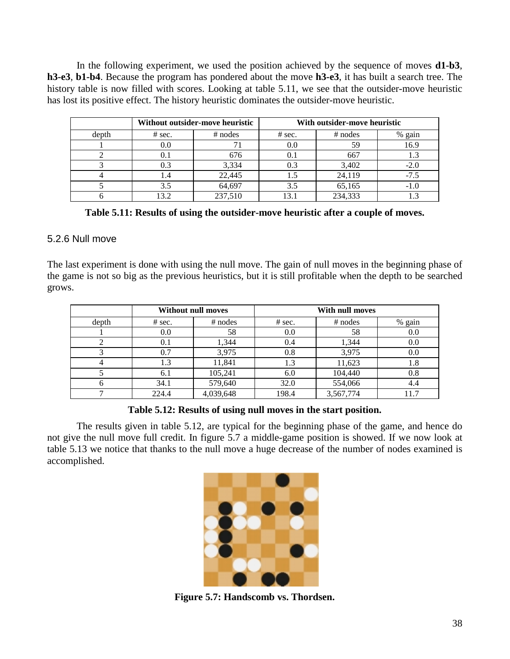In the following experiment, we used the position achieved by the sequence of moves **d1-b3**, **h3-e3**, **b1-b4**. Because the program has pondered about the move **h3-e3**, it has built a search tree. The history table is now filled with scores. Looking at table 5.11, we see that the outsider-move heuristic has lost its positive effect. The history heuristic dominates the outsider-move heuristic.

|       | Without outsider-move heuristic |           | With outsider-move heuristic |           |        |
|-------|---------------------------------|-----------|------------------------------|-----------|--------|
| depth | $#$ sec.                        | $#$ nodes | $#$ sec.                     | $#$ nodes | % gain |
|       | 0.0                             |           | 0.0                          | 59        | 16.9   |
|       | 0.1                             | 676       | 0.1                          | 667       | 1.3    |
|       | 0.3                             | 3,334     | 0.3                          | 3,402     | $-2.0$ |
|       |                                 | 22,445    |                              | 24,119    | $-7.5$ |
|       |                                 | 64,697    | 3.5                          | 65,165    | $-1.0$ |
|       | .3.2                            | 237,510   |                              | 234,333   |        |

**Table 5.11: Results of using the outsider-move heuristic after a couple of moves.** 

### 5.2.6 Null move

The last experiment is done with using the null move. The gain of null moves in the beginning phase of the game is not so big as the previous heuristics, but it is still profitable when the depth to be searched grows.

|       |          | <b>Without null moves</b> | <b>With null moves</b> |           |        |
|-------|----------|---------------------------|------------------------|-----------|--------|
| depth | $#$ sec. | $#$ nodes                 | $#$ sec.               | $#$ nodes | % gain |
|       | 0.0      | 58                        | 0.0                    | 58        | 0.0    |
|       | 0.1      | 1,344                     | 0.4                    | 1.344     | 0.0    |
|       | 0.7      | 3,975                     | 0.8                    | 3,975     | 0.0    |
|       | 1.3      | 11,841                    | 1.3                    | 11,623    | 1.8    |
|       | 6.1      | 105,241                   | 6.0                    | 104,440   | 0.8    |
| h     | 34.1     | 579,640                   | 32.0                   | 554,066   | 4.4    |
|       | 224.4    | 4,039,648                 | 198.4                  | 3,567,774 | 11.7   |

### **Table 5.12: Results of using null moves in the start position.**

The results given in table 5.12, are typical for the beginning phase of the game, and hence do not give the null move full credit. In figure 5.7 a middle-game position is showed. If we now look at table 5.13 we notice that thanks to the null move a huge decrease of the number of nodes examined is accomplished.



**Figure 5.7: Handscomb vs. Thordsen.**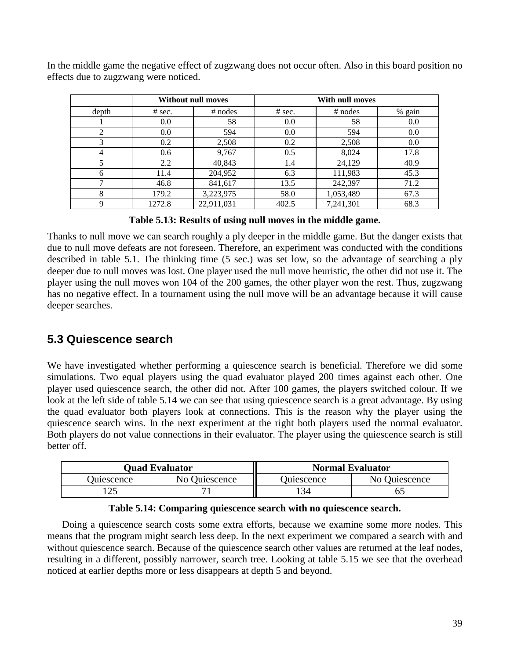| In the middle game the negative effect of zugzwang does not occur often. Also in this board position no |  |  |  |
|---------------------------------------------------------------------------------------------------------|--|--|--|
| effects due to zugzwang were noticed.                                                                   |  |  |  |

|             |          | <b>Without null moves</b> |          | With null moves |        |
|-------------|----------|---------------------------|----------|-----------------|--------|
| depth       | $#$ sec. | $#$ nodes                 | $#$ sec. | $#$ nodes       | % gain |
|             | 0.0      | 58                        | 0.0      | 58              | 0.0    |
| 2           | 0.0      | 594                       | 0.0      | 594             | 0.0    |
| 3           | 0.2      | 2,508                     | 0.2      | 2,508           | 0.0    |
| 4           | 0.6      | 9,767                     | 0.5      | 8,024           | 17.8   |
| 5           | 2.2      | 40,843                    | 1.4      | 24,129          | 40.9   |
| 6           | 11.4     | 204,952                   | 6.3      | 111,983         | 45.3   |
|             | 46.8     | 841,617                   | 13.5     | 242,397         | 71.2   |
| 8           | 179.2    | 3,223,975                 | 58.0     | 1,053,489       | 67.3   |
| $\mathbf Q$ | 1272.8   | 22,911,031                | 402.5    | 7,241,301       | 68.3   |

**Table 5.13: Results of using null moves in the middle game.** 

Thanks to null move we can search roughly a ply deeper in the middle game. But the danger exists that due to null move defeats are not foreseen. Therefore, an experiment was conducted with the conditions described in table 5.1. The thinking time (5 sec.) was set low, so the advantage of searching a ply deeper due to null moves was lost. One player used the null move heuristic, the other did not use it. The player using the null moves won 104 of the 200 games, the other player won the rest. Thus, zugzwang has no negative effect. In a tournament using the null move will be an advantage because it will cause deeper searches.

### **5.3 Quiescence search**

We have investigated whether performing a quiescence search is beneficial. Therefore we did some simulations. Two equal players using the quad evaluator played 200 times against each other. One player used quiescence search, the other did not. After 100 games, the players switched colour. If we look at the left side of table 5.14 we can see that using quiescence search is a great advantage. By using the quad evaluator both players look at connections. This is the reason why the player using the quiescence search wins. In the next experiment at the right both players used the normal evaluator. Both players do not value connections in their evaluator. The player using the quiescence search is still better off.

|                   | <b>Ouad Evaluator</b> | <b>Normal Evaluator</b> |               |  |
|-------------------|-----------------------|-------------------------|---------------|--|
| <b>Oujescence</b> | No Ouiescence         | <b>Duiescence</b>       | No Ouiescence |  |
|                   |                       | 134                     |               |  |

| Table 5.14: Comparing quiescence search with no quiescence search. |  |  |  |  |  |
|--------------------------------------------------------------------|--|--|--|--|--|
|--------------------------------------------------------------------|--|--|--|--|--|

Doing a quiescence search costs some extra efforts, because we examine some more nodes. This means that the program might search less deep. In the next experiment we compared a search with and without quiescence search. Because of the quiescence search other values are returned at the leaf nodes, resulting in a different, possibly narrower, search tree. Looking at table 5.15 we see that the overhead noticed at earlier depths more or less disappears at depth 5 and beyond.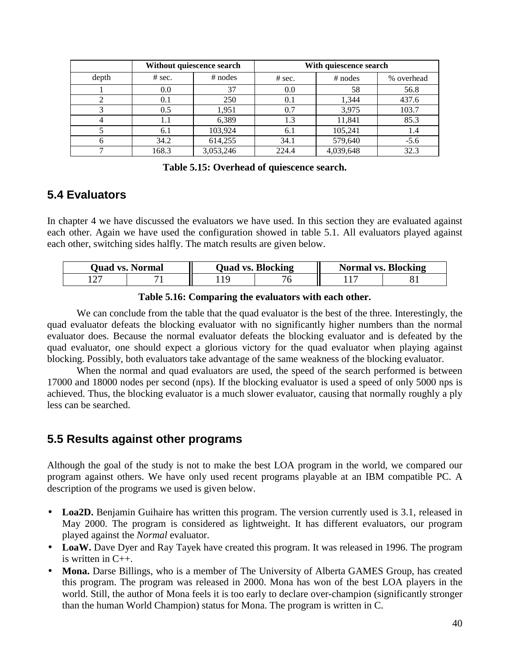|       | Without quiescence search |           | With quiescence search |           |            |
|-------|---------------------------|-----------|------------------------|-----------|------------|
| depth | $#$ sec.                  | $#$ nodes | # sec.                 | $#$ nodes | % overhead |
|       | 0.0                       | 37        | 0.0                    | 58        | 56.8       |
|       | 0.1                       | 250       | 0.1                    | 1,344     | 437.6      |
|       | 0.5                       | 1,951     | 0.7                    | 3,975     | 103.7      |
|       | 1.1                       | 6,389     | 1.3                    | 11,841    | 85.3       |
|       | 6.1                       | 103,924   | 6.1                    | 105,241   | 1.4        |
| 6     | 34.2                      | 614,255   | 34.1                   | 579,640   | $-5.6$     |
|       | 168.3                     | 3,053,246 | 224.4                  | 4,039,648 | 32.3       |

**Table 5.15: Overhead of quiescence search.** 

### **5.4 Evaluators**

In chapter 4 we have discussed the evaluators we have used. In this section they are evaluated against each other. Again we have used the configuration showed in table 5.1. All evaluators played against each other, switching sides halfly. The match results are given below.

| <b>Ouad vs. Normal</b> |  | <b>Quad vs. Blocking</b> |  | <b>Normal vs. Blocking</b> |  |
|------------------------|--|--------------------------|--|----------------------------|--|
|                        |  |                          |  |                            |  |

#### **Table 5.16: Comparing the evaluators with each other.**

 We can conclude from the table that the quad evaluator is the best of the three. Interestingly, the quad evaluator defeats the blocking evaluator with no significantly higher numbers than the normal evaluator does. Because the normal evaluator defeats the blocking evaluator and is defeated by the quad evaluator, one should expect a glorious victory for the quad evaluator when playing against blocking. Possibly, both evaluators take advantage of the same weakness of the blocking evaluator.

When the normal and quad evaluators are used, the speed of the search performed is between 17000 and 18000 nodes per second (nps). If the blocking evaluator is used a speed of only 5000 nps is achieved. Thus, the blocking evaluator is a much slower evaluator, causing that normally roughly a ply less can be searched.

### **5.5 Results against other programs**

Although the goal of the study is not to make the best LOA program in the world, we compared our program against others. We have only used recent programs playable at an IBM compatible PC. A description of the programs we used is given below.

- Loa2D. Benjamin Guihaire has written this program. The version currently used is 3.1, released in May 2000. The program is considered as lightweight. It has different evaluators, our program played against the *Normal* evaluator.
- LoaW. Dave Dyer and Ray Tayek have created this program. It was released in 1996. The program is written in  $C_{++}$ .
- **Mona.** Darse Billings, who is a member of The University of Alberta GAMES Group, has created this program. The program was released in 2000. Mona has won of the best LOA players in the world. Still, the author of Mona feels it is too early to declare over-champion (significantly stronger than the human World Champion) status for Mona. The program is written in C.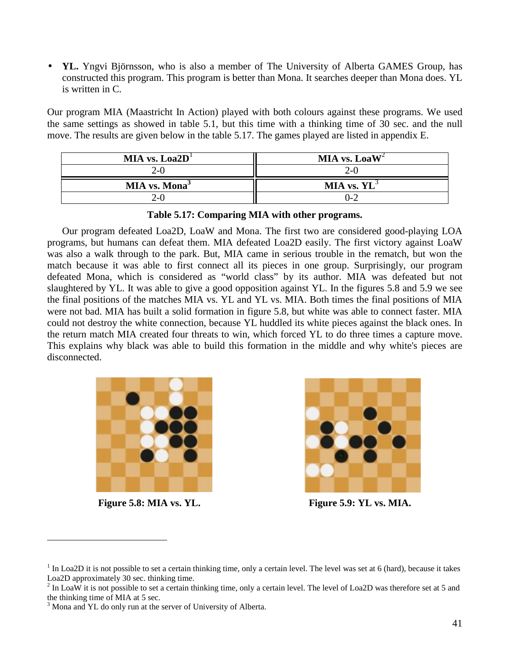• **YL.** Yngvi Björnsson, who is also a member of The University of Alberta GAMES Group, has constructed this program. This program is better than Mona. It searches deeper than Mona does. YL is written in C.

Our program MIA (Maastricht In Action) played with both colours against these programs. We used the same settings as showed in table 5.1, but this time with a thinking time of 30 sec. and the null move. The results are given below in the table 5.17. The games played are listed in appendix E.

| MIA vs. $\text{La}2\text{D}^{\text{T}}$ | MIA vs. Loa $W^2$ |
|-----------------------------------------|-------------------|
| 2-0                                     | $2 - 0$           |
| MIA vs. Mona <sup>3</sup>               | MIA vs. $YL^3$    |
| 2-0                                     | 0-2               |

**Table 5.17: Comparing MIA with other programs.** 

Our program defeated Loa2D, LoaW and Mona. The first two are considered good-playing LOA programs, but humans can defeat them. MIA defeated Loa2D easily. The first victory against LoaW was also a walk through to the park. But, MIA came in serious trouble in the rematch, but won the match because it was able to first connect all its pieces in one group. Surprisingly, our program defeated Mona, which is considered as "world class" by its author. MIA was defeated but not slaughtered by YL. It was able to give a good opposition against YL. In the figures 5.8 and 5.9 we see the final positions of the matches MIA vs. YL and YL vs. MIA. Both times the final positions of MIA were not bad. MIA has built a solid formation in figure 5.8, but white was able to connect faster. MIA could not destroy the white connection, because YL huddled its white pieces against the black ones. In the return match MIA created four threats to win, which forced YL to do three times a capture move. This explains why black was able to build this formation in the middle and why white's pieces are disconnected.



 $\overline{a}$ 



Figure 5.8: MIA vs. YL. **Figure 5.9: YL vs. MIA.** 

 $1$  In Loa2D it is not possible to set a certain thinking time, only a certain level. The level was set at 6 (hard), because it takes Loa2D approximately 30 sec. thinking time.

<sup>&</sup>lt;sup>2</sup> In LoaW it is not possible to set a certain thinking time, only a certain level. The level of Loa2D was therefore set at 5 and the thinking time of MIA at 5 sec.

<sup>&</sup>lt;sup>3</sup> Mona and YL do only run at the server of University of Alberta.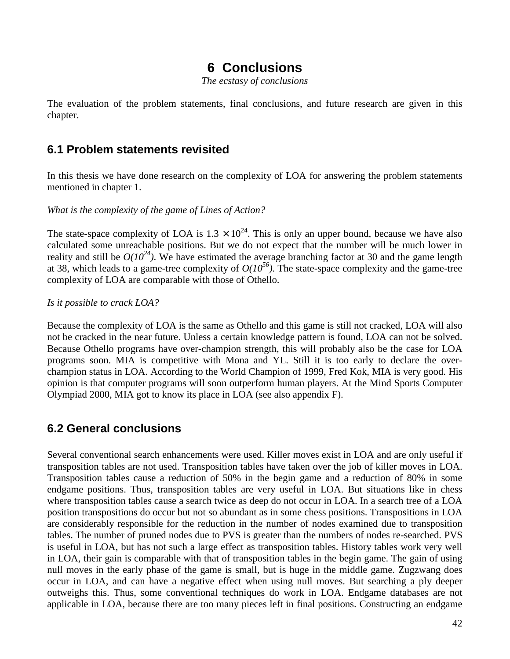## **6 Conclusions**

*The ecstasy of conclusions* 

The evaluation of the problem statements, final conclusions, and future research are given in this chapter.

### **6.1 Problem statements revisited**

In this thesis we have done research on the complexity of LOA for answering the problem statements mentioned in chapter 1.

*What is the complexity of the game of Lines of Action?* 

The state-space complexity of LOA is  $1.3 \times 10^{24}$ . This is only an upper bound, because we have also calculated some unreachable positions. But we do not expect that the number will be much lower in reality and still be  $O(10^{24})$ . We have estimated the average branching factor at 30 and the game length at 38, which leads to a game-tree complexity of  $O(10^{56})$ . The state-space complexity and the game-tree complexity of LOA are comparable with those of Othello.

#### *Is it possible to crack LOA?*

Because the complexity of LOA is the same as Othello and this game is still not cracked, LOA will also not be cracked in the near future. Unless a certain knowledge pattern is found, LOA can not be solved. Because Othello programs have over-champion strength, this will probably also be the case for LOA programs soon. MIA is competitive with Mona and YL. Still it is too early to declare the overchampion status in LOA. According to the World Champion of 1999, Fred Kok, MIA is very good. His opinion is that computer programs will soon outperform human players. At the Mind Sports Computer Olympiad 2000, MIA got to know its place in LOA (see also appendix F).

### **6.2 General conclusions**

Several conventional search enhancements were used. Killer moves exist in LOA and are only useful if transposition tables are not used. Transposition tables have taken over the job of killer moves in LOA. Transposition tables cause a reduction of 50% in the begin game and a reduction of 80% in some endgame positions. Thus, transposition tables are very useful in LOA. But situations like in chess where transposition tables cause a search twice as deep do not occur in LOA. In a search tree of a LOA position transpositions do occur but not so abundant as in some chess positions. Transpositions in LOA are considerably responsible for the reduction in the number of nodes examined due to transposition tables. The number of pruned nodes due to PVS is greater than the numbers of nodes re-searched. PVS is useful in LOA, but has not such a large effect as transposition tables. History tables work very well in LOA, their gain is comparable with that of transposition tables in the begin game. The gain of using null moves in the early phase of the game is small, but is huge in the middle game. Zugzwang does occur in LOA, and can have a negative effect when using null moves. But searching a ply deeper outweighs this. Thus, some conventional techniques do work in LOA. Endgame databases are not applicable in LOA, because there are too many pieces left in final positions. Constructing an endgame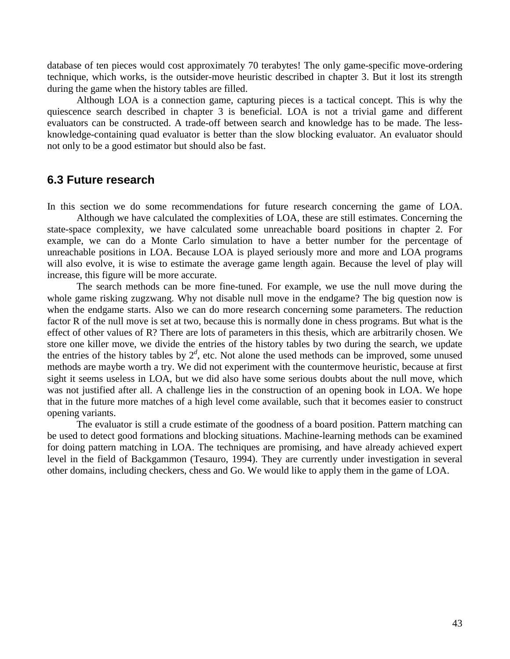database of ten pieces would cost approximately 70 terabytes! The only game-specific move-ordering technique, which works, is the outsider-move heuristic described in chapter 3. But it lost its strength during the game when the history tables are filled.

 Although LOA is a connection game, capturing pieces is a tactical concept. This is why the quiescence search described in chapter 3 is beneficial. LOA is not a trivial game and different evaluators can be constructed. A trade-off between search and knowledge has to be made. The lessknowledge-containing quad evaluator is better than the slow blocking evaluator. An evaluator should not only to be a good estimator but should also be fast.

### **6.3 Future research**

In this section we do some recommendations for future research concerning the game of LOA.

 Although we have calculated the complexities of LOA, these are still estimates. Concerning the state-space complexity, we have calculated some unreachable board positions in chapter 2. For example, we can do a Monte Carlo simulation to have a better number for the percentage of unreachable positions in LOA. Because LOA is played seriously more and more and LOA programs will also evolve, it is wise to estimate the average game length again. Because the level of play will increase, this figure will be more accurate.

 The search methods can be more fine-tuned. For example, we use the null move during the whole game risking zugzwang. Why not disable null move in the endgame? The big question now is when the endgame starts. Also we can do more research concerning some parameters. The reduction factor R of the null move is set at two, because this is normally done in chess programs. But what is the effect of other values of R? There are lots of parameters in this thesis, which are arbitrarily chosen. We store one killer move, we divide the entries of the history tables by two during the search, we update the entries of the history tables by  $2^d$ , etc. Not alone the used methods can be improved, some unused methods are maybe worth a try. We did not experiment with the countermove heuristic, because at first sight it seems useless in LOA, but we did also have some serious doubts about the null move, which was not justified after all. A challenge lies in the construction of an opening book in LOA. We hope that in the future more matches of a high level come available, such that it becomes easier to construct opening variants.

 The evaluator is still a crude estimate of the goodness of a board position. Pattern matching can be used to detect good formations and blocking situations. Machine-learning methods can be examined for doing pattern matching in LOA. The techniques are promising, and have already achieved expert level in the field of Backgammon (Tesauro, 1994). They are currently under investigation in several other domains, including checkers, chess and Go. We would like to apply them in the game of LOA.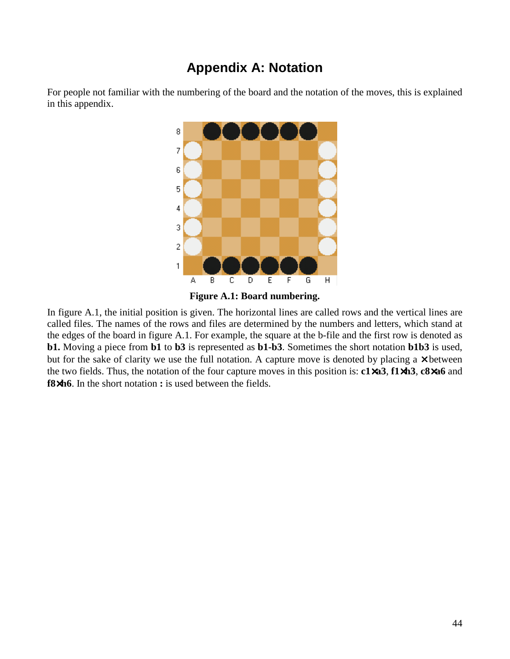### **Appendix A: Notation**



For people not familiar with the numbering of the board and the notation of the moves, this is explained in this appendix.



In figure A.1, the initial position is given. The horizontal lines are called rows and the vertical lines are called files. The names of the rows and files are determined by the numbers and letters, which stand at the edges of the board in figure A.1. For example, the square at the b-file and the first row is denoted as **b1.** Moving a piece from **b1** to **b3** is represented as **b1-b3**. Sometimes the short notation **b1b3** is used, but for the sake of clarity we use the full notation. A capture move is denoted by placing a  $\times$  between the two fields. Thus, the notation of the four capture moves in this position is: **c1**×**a3**, **f1**×**h3**, **c8**×**a6** and **f8**×**h6**. In the short notation **:** is used between the fields.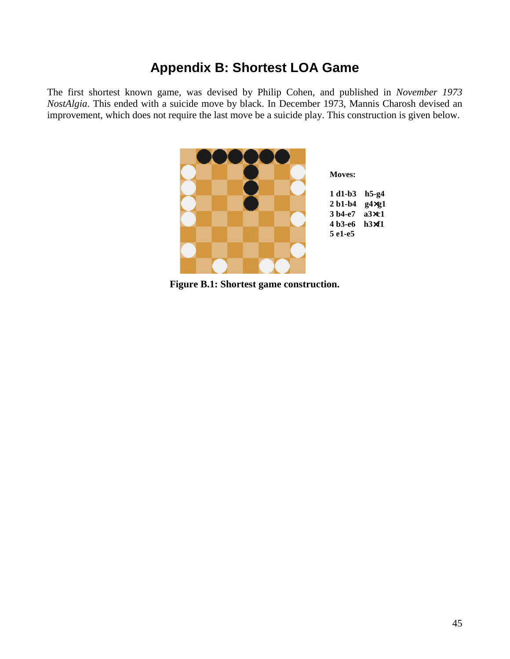### **Appendix B: Shortest LOA Game**

The first shortest known game, was devised by Philip Cohen, and published in *November 1973 NostAlgia*. This ended with a suicide move by black. In December 1973, Mannis Charosh devised an improvement, which does not require the last move be a suicide play. This construction is given below.



**Figure B.1: Shortest game construction.**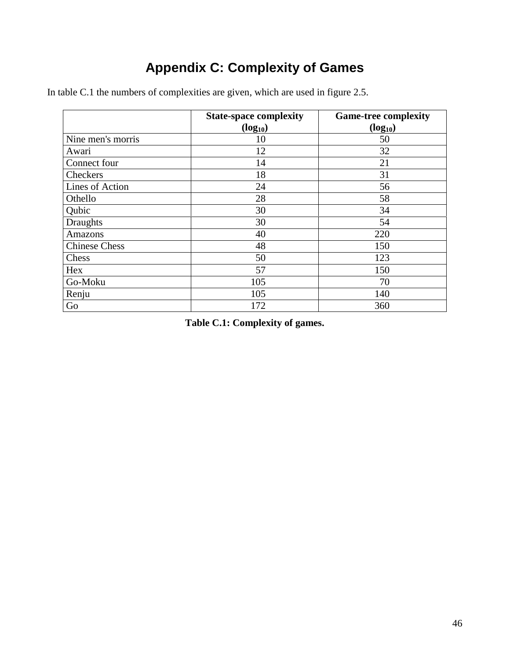# **Appendix C: Complexity of Games**

|                      | <b>State-space complexity</b> | <b>Game-tree complexity</b> |
|----------------------|-------------------------------|-----------------------------|
|                      | $(log_{10})$                  | $(log_{10})$                |
| Nine men's morris    | 10                            | 50                          |
| Awari                | 12                            | 32                          |
| Connect four         | 14                            | 21                          |
| Checkers             | 18                            | 31                          |
| Lines of Action      | 24                            | 56                          |
| Othello              | 28                            | 58                          |
| Qubic                | 30                            | 34                          |
| <b>Draughts</b>      | 30                            | 54                          |
| <b>Amazons</b>       | 40                            | 220                         |
| <b>Chinese Chess</b> | 48                            | 150                         |
| Chess                | 50                            | 123                         |
| Hex                  | 57                            | 150                         |
| Go-Moku              | 105                           | 70                          |
| Renju                | 105                           | 140                         |
| Go                   | 172                           | 360                         |

In table C.1 the numbers of complexities are given, which are used in figure 2.5.

**Table C.1: Complexity of games.**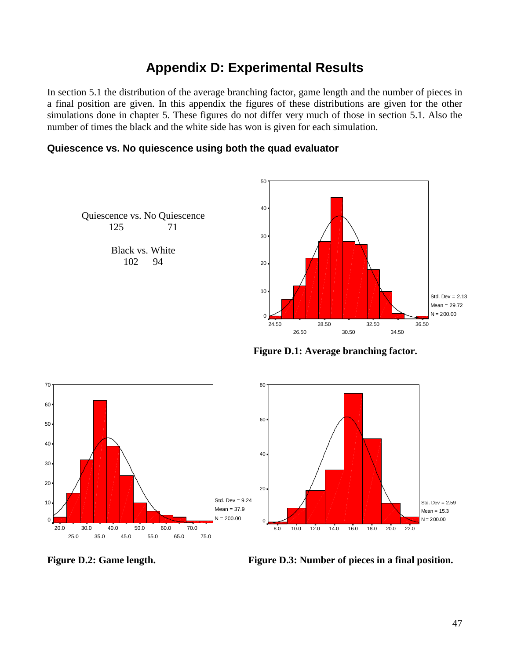## **Appendix D: Experimental Results**

In section 5.1 the distribution of the average branching factor, game length and the number of pieces in a final position are given. In this appendix the figures of these distributions are given for the other simulations done in chapter 5. These figures do not differ very much of those in section 5.1. Also the number of times the black and the white side has won is given for each simulation.

### **Quiescence vs. No quiescence using both the quad evaluator**



**Figure D.1: Average branching factor.** 



**Figure D.2: Game length.** Figure D.3: Number of pieces in a final position.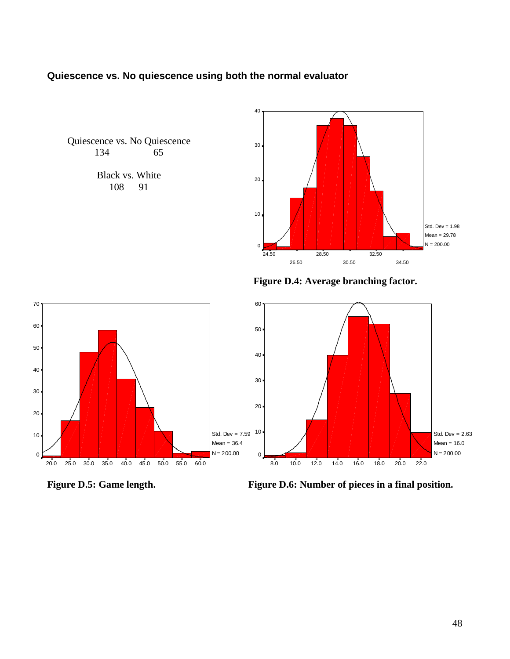### **Quiescence vs. No quiescence using both the normal evaluator**

Quiescence vs. No Quiescence 134 65

> Black vs. White<br>108 91 108



**Figure D.4: Average branching factor.** 



Figure D.5: Game length. Figure D.6: Number of pieces in a final position.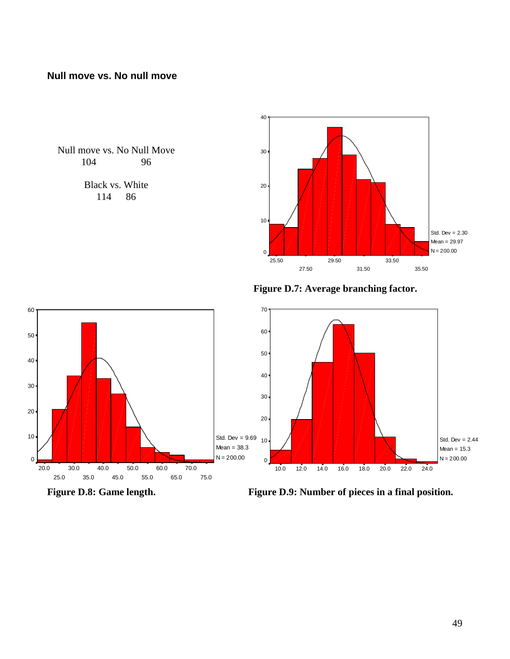### **Null move vs. No null move**

Null move vs. No Null Move 104 96

> Black vs. White 114 86



**Figure D.7: Average branching factor.** 



Figure D.8: Game length. Figure D.9: Number of pieces in a final position.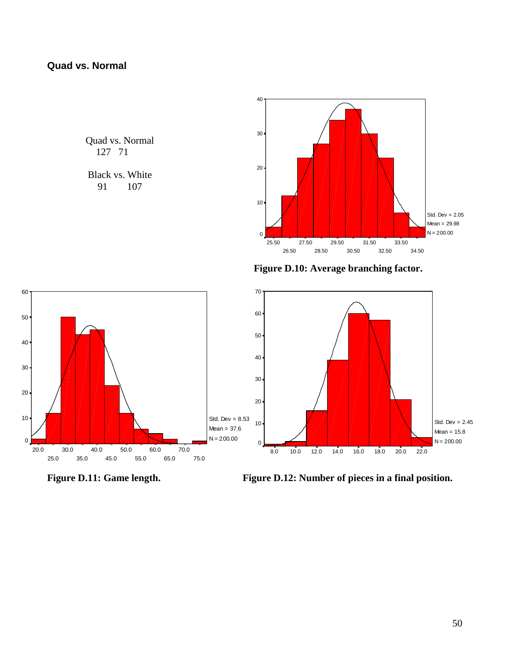Quad vs. Normal 127 71

Black vs. White<br>91 107 107



**Figure D.10: Average branching factor.** 



Figure D.11: Game length. Figure D.12: Number of pieces in a final position.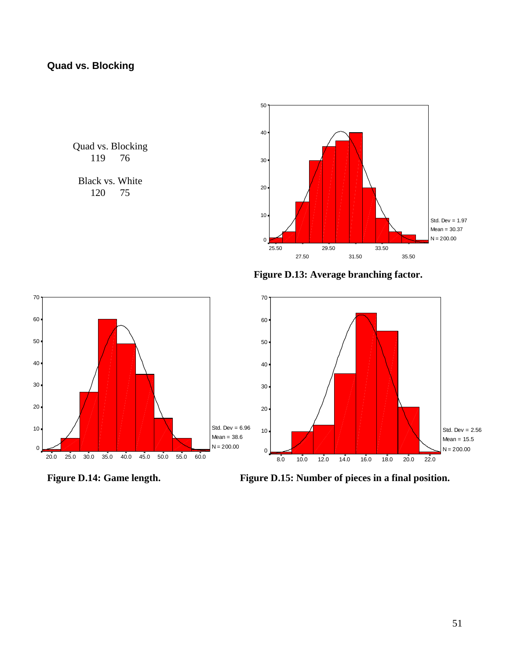Quad vs. Blocking<br>119 76 119

Black vs. White 120 75



**Figure D.13: Average branching factor.** 



Figure D.14: Game length. Figure D.15: Number of pieces in a final position.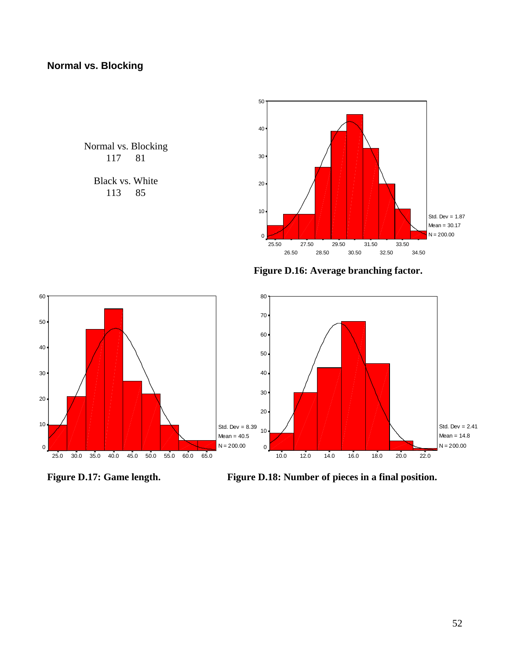### **Normal vs. Blocking**

Normal vs. Blocking<br>117 81 117

> Black vs. White 113 85



**Figure D.16: Average branching factor.** 



Figure D.17: Game length. Figure D.18: Number of pieces in a final position.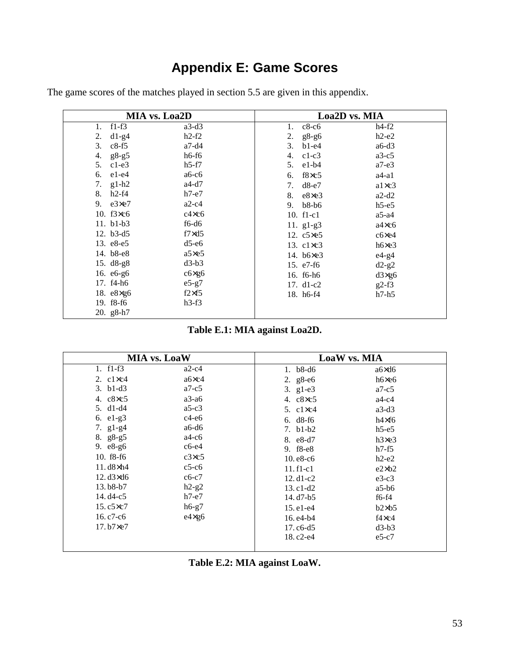# **Appendix E: Game Scores**

| MIA vs. Loa2D                      |                |                      | Loa <sub>2D</sub> vs. MIA |
|------------------------------------|----------------|----------------------|---------------------------|
| f1-f3<br>1.                        | $a3-d3$        | $c8-c6$<br>1.        | $h4-f2$                   |
| $d1-g4$<br>2.                      | $h2-f2$        | $g8-g6$<br>2.        | $h2-e2$                   |
| 3.<br>$c8-f5$                      | $a7-d4$        | 3.<br>$b1-e4$        | $a6-d3$                   |
| $g8-g5$<br>4.                      | $h6-f6$        | $c1-c3$<br>4.        | $a3-c5$                   |
| 5.<br>$c1-e3$                      | $h5-f7$        | e1-b4<br>5.          | $a7-e3$                   |
| $e1-e4$<br>6.                      | $a6-c6$        | $f8 \times c5$<br>6. | $a4-a1$                   |
| $g1-h2$<br>7.                      | $a4-d7$        | $d8-e7$<br>7.        | $a1 \times c3$            |
| h2-f4<br>8.                        | $h7-e7$        | $e8 \times e3$<br>8. | $a2-d2$                   |
| 9. $e3 \times e7$                  | $a2-c4$        | $b8-b6$<br>9.        | $h5-e5$                   |
| 10. $f3 \times c6$                 | $c4 \times c6$ | 10. $f1-c1$          | $a5-a4$                   |
| 11. b1-b3                          | $f6-d6$        | 11. $g1-g3$          | $a4 \times c6$            |
| 12. $b3-d5$                        | $f7\times d5$  | 12. $c5 \times 65$   | $c6 \times e4$            |
| 13. e8-e5                          | $d5-e6$        | 13. $c1 \times c3$   | h6xe3                     |
| 14. b8-e8                          | $a5 \times e5$ | 14. b6×e3            | $e4-g4$                   |
| 15. d8-g8                          | $d3-b3$        | 15. e7-f6            | $d2-g2$                   |
| 16. e6-g6                          | $c6 \times g6$ | 16. f6-h6            | $d3 \times g6$            |
| 17. f4-h6                          | $e5-g7$        | 17. $d1-c2$          | $g2-f3$                   |
| 18. $e8 \times g6$                 | $f2\times f5$  | 18. h6-f4            | $h7-h5$                   |
| 19. f <sub>8</sub> -f <sub>6</sub> | $h3-f3$        |                      |                           |
| 20. $g8-h7$                        |                |                      |                           |

The game scores of the matches played in section 5.5 are given in this appendix.

|  | Table E.1: MIA against Loa2D. |
|--|-------------------------------|
|--|-------------------------------|

|                    | <b>MIA vs. LoaW</b> |                                   | LoaW vs. MIA   |  |
|--------------------|---------------------|-----------------------------------|----------------|--|
| 1. $f1-f3$         | $a2-c4$             | 1. $b8-d6$                        | $a6 \times d6$ |  |
| 2. $c1 \times c4$  | a6×c4               | 2. $g8-e6$                        | $h6 \times e6$ |  |
| $3. b1-d3$         | $a7-c5$             | 3. $g1-e3$                        | $a7-c5$        |  |
| 4. $c8 \times c5$  | $a3-a6$             | 4. $c8 \times c5$                 | $a4-c4$        |  |
| 5. $d1-d4$         | $a5-c3$             | 5. $c1 \times c4$                 | $a3-d3$        |  |
| 6. $e1-g3$         | $c4-e6$             | 6. $d8-f6$                        | $h4\times f6$  |  |
| 7. $g1-g4$         | $a6-d6$             | 7. $b1-b2$                        | $h5-e5$        |  |
| 8. g8-g5           | $a4-c6$             | 8. e8-d7                          | h3xe3          |  |
| 9. e8-g6           | $c6-e4$             | 9. f <sub>8</sub> -e <sub>8</sub> | $h7-f5$        |  |
| 10. f8-f6          | c3xc5               | $10. e8-c6$                       | $h2-e2$        |  |
| $11. d8 \times h4$ | $c5-c6$             | $11.f1-c1$                        | $e2 \times b2$ |  |
| $12. d3 \times d6$ | $c6-c7$             | 12. $d1-c2$                       | $e3-c3$        |  |
| $13. b8-b7$        | $h2-g2$             | $13. c1-d2$                       | $a5-b6$        |  |
| 14. $d4 - c5$      | $h7-e7$             | 14. d7-b5                         | $f6-f4$        |  |
| 15. c5×c7          | $h6-g7$             | $15. e1 - e4$                     | $b2\times b5$  |  |
| 16. $c7-c6$        | $e4 \times g6$      | 16. e4-b4                         | $f4 \times c4$ |  |
| $17. b7 \times e7$ |                     | 17. c6-d5                         | $d3-b3$        |  |
|                    |                     | 18. c2-e4                         | $e5-c7$        |  |
|                    |                     |                                   |                |  |

|  | Table E.2: MIA against LoaW. |
|--|------------------------------|
|--|------------------------------|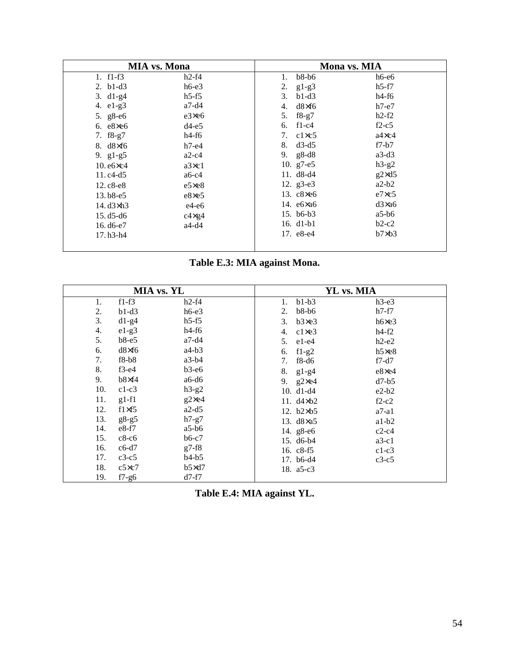| <b>MIA</b> vs. Mona                |                |                      | Mona vs. MIA   |
|------------------------------------|----------------|----------------------|----------------|
| 1. $f1-f3$                         | $h2-f4$        | $b8-b6$<br>1.        | $h6-e6$        |
| 2. $b1-d3$                         | $h6-e3$        | $g1-g3$<br>2.        | $h5-f7$        |
| 3. $d1-g4$                         | $h5-f5$        | $b1-d3$<br>3.        | $h4-f6$        |
| 4. e1-g3                           | $a7-d4$        | $d8\times f6$<br>4.  | $h7-e7$        |
| 5. g8-e6                           | $e3 \times e6$ | $f8-g7$<br>5.        | $h2-f2$        |
| 6. $e8 \times e6$                  | $d4-e5$        | 6. $f1-c4$           | $f2-c5$        |
| 7. $f8-g7$                         | $h4-f6$        | $c1 \times c5$<br>7. | $a4 \times c4$ |
| 8. $d8 \times 16$                  | $h7-e4$        | 8. $d3-d5$           | $f7-b7$        |
| 9. $g1-g5$                         | $a2-c4$        | 9. $g8-d8$           | $a3-d3$        |
| $10. e6 \times c4$                 | $a3 \times c1$ | 10. $g7-e5$          | $h3-g2$        |
| 11. $c4-d5$                        | $a6-c4$        | 11. $d8-d4$          | $g2\times d5$  |
| $12.c8-e8$                         | $e5 \times e8$ | 12. g3-e3            | $a2-b2$        |
| $13. b8 - e5$                      | e8×e5          | 13. $c8 \times 6$    | $e7\times c5$  |
| 14. $d3\times h3$                  | $e4-e6$        | 14. ебхаб            | d3x26          |
| $15. d5 - d6$                      | $c4 \times g4$ | 15. b6-b3            | $a5-b6$        |
| 16. d6-e7                          | $a4-d4$        | 16. $d1-b1$          | $b2-c2$        |
| 17. h <sub>3</sub> -h <sub>4</sub> |                | 17. e8-e4            | $b7\times b3$  |

| Table E.3: MIA against Mona. |  |
|------------------------------|--|
|------------------------------|--|

| MIA vs. YL |               |                | YL vs. MIA           |                |
|------------|---------------|----------------|----------------------|----------------|
| 1.         | $f1-f3$       | $h2-f4$        | $b1-b3$<br>1.        | $h3-e3$        |
| 2.         | $b1-d3$       | $h6-e3$        | $b8-b6$<br>2.        | $h7-f7$        |
| 3.         | $d1-g4$       | $h5-f5$        | b3xe3<br>3.          | $h6 \times e3$ |
| 4.         | $e1-g3$       | $h4-f6$        | $cl \times e3$<br>4. | $h4-f2$        |
| 5.         | $b8-e5$       | $a7-d4$        | 5. $e1-e4$           | $h2-e2$        |
| 6.         | $d8\times f6$ | $a4-b3$        | 6. $f1-g2$           | $h5 \times e8$ |
| 7.         | $f8-b8$       | $a3-b4$        | $f8-d6$<br>7.        | $f7-d7$        |
| 8.         | $f3-e4$       | $b3-e6$        | 8.<br>$g1-g4$        | e8×e4          |
| 9.         | $b8\times f4$ | $a6-d6$        | 9. $g2 \times e4$    | $d7-b5$        |
| 10.        | $c1-c3$       | $h3-g2$        | 10. $d1-d4$          | $e2-b2$        |
| 11.        | $g1-f1$       | $g2 \times e4$ | 11. $d4 \times b2$   | $f2-c2$        |
| 12.        | $f1\times f5$ | $a2-d5$        | 12. $b2 \times b5$   | $a7-a1$        |
| 13.        | $g8-g5$       | $h7-g7$        | 13. $d8\times a5$    | $a1-b2$        |
| 14.        | $e8-f7$       | $a5-b6$        | 14. g8-e6            | $c2-c4$        |
| 15.        | $c8-c6$       | $b6-c7$        | 15. d6-b4            | $a3-c1$        |
| 16.        | $c6-d7$       | $g7-f8$        | 16. $c8-f5$          | $c1-c3$        |
| 17.        | $c3-c5$       | $b4-b5$        | 17. b6-d4            | $c3-c5$        |
| 18.        | c5xc7         | $b5\times d7$  | 18. $a5-c3$          |                |
| 19.        | $f7-g6$       | $d7-f7$        |                      |                |

**Table E.4: MIA against YL.**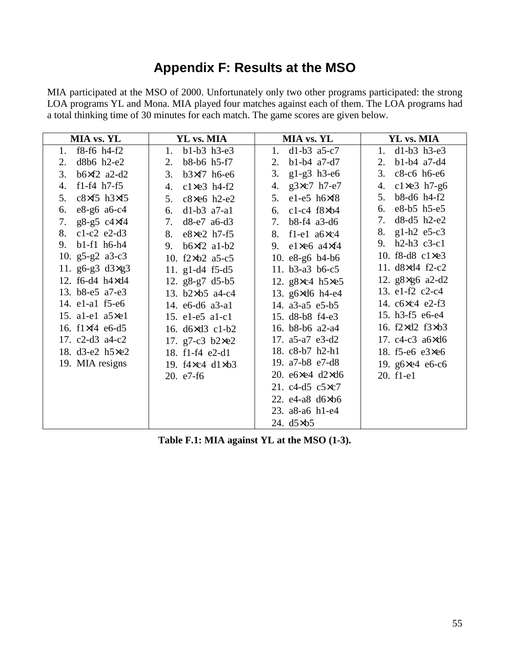# **Appendix F: Results at the MSO**

MIA participated at the MSO of 2000. Unfortunately only two other programs participated: the strong LOA programs YL and Mona. MIA played four matches against each of them. The LOA programs had a total thinking time of 30 minutes for each match. The game scores are given below.

| MIA vs. YL                         | YL vs. MIA                         | MIA vs. YL                           | YL vs. MIA                 |
|------------------------------------|------------------------------------|--------------------------------------|----------------------------|
| $f8-f6$ h4- $f2$<br>1.             | b1-b3 h3-e3<br>1.                  | 1. $d1-b3$ a5-c7                     | 1. $d1-b3 h3-e3$           |
| d8b6 h2-e2<br>2.                   | $b8-b6$ h5-f7<br>2.                | $b1-b4$ a7-d7<br>2.                  | $b1-b4$ a7-d4<br>2.        |
| $b6\times f2$ a2-d2<br>3.          | 3.<br>$b3\times f7$ h6-e6          | $g1-g3$ h3-e6<br>3.                  | 3. c8-c6 h6-e6             |
| f1-f4 $h7-f5$<br>4.                | $c1 \times e3$ h4-f2<br>4.         | $g3xc7 h7-e7$<br>4.                  | $c1 \times e3$ h7-g6<br>4. |
| $c8\times f5$ h3 $\times f5$<br>5. | c8×e6 h2-e2<br>5.                  | $e1-e5$ h $6\times f8$<br>$5_{-}$    | b8-d6 h4-f2<br>5.          |
| e8-g6 a6-c4<br>6.                  | 6.<br>$d1-b3$ $a7-a1$              | $c1-c4$ $f8 \times b4$<br>6.         | 6. e8-b5 h5-e5             |
| $g8-g5 c4\times f4$<br>7.          | 7.<br>$d8-e7$ a6-d3                | 7. b8-f4 a3-d6                       | $d8-d5 h2-e2$<br>7.        |
| $c1-c2$ e2-d3<br>8.                | e8×e2 h7-f5<br>8.                  | $f1-e1$ a $6 \times c4$<br>8.        | 8. g1-h2 e5-c3             |
| $b1-f1$ h6-h4<br>9.                | $b6\times f2$ al-b2<br>9.          | $e1 \times e6$ a $4 \times f4$<br>9. | 9. h2-h3 c3-c1             |
| 10. $g5-g2$ a3-c3                  | 10. $f2 \times b2$ a5-c5           | 10. $e8-g6$ b4-b6                    | 10. f8-d8 c1×e3            |
| 11. g6-g3 $d3 \times g3$           | 11. $g1-d4$ f5-d5                  | 11. b3-a3 b6-c5                      | 11. d8×d4 f2-c2            |
| 12. f6-d4 h4×d4                    | 12. g8-g7 d5-b5                    | 12. $g8 \times c4$ h5 $\times e5$    | 12. g8×g6 a2-d2            |
| 13. b8-e5 a7-e3                    | 13. b2×b5 a4-c4                    | 13. g6×d6 h4-e4                      | 13. e1-f2 c2-c4            |
| 14. e1-a1 f5-e6                    | 14. e6-d6 a3-a1                    | 14. a3-a5 e5-b5                      | 14. c6×c4 e2-f3            |
| 15. a1-e1 a5×e1                    | 15. e1-e5 a1-c1                    | 15. d8-b8 f4-e3                      | 15. h3-f5 e6-e4            |
| 16. f1×f4 e6-d5                    | 16. d6×d3 c1-b2                    | 16. b8-b6 a2-a4                      | 16. f2×d2 f3×b3            |
| 17. $c2-d3$ a4- $c2$               | 17. g7-c3 $b2 \times e2$           | 17. a5-a7 e3-d2                      | 17. c4-c3 a6×d6            |
| 18. d3-e2 h5×e2                    | 18. f1-f4 e2-d1                    | 18. c8-b7 h2-h1                      | 18. $f5-e6$ e3 $\times$ e6 |
| 19. MIA resigns                    | 19. $f4 \times c4$ d $1 \times b3$ | 19. a7-b8 e7-d8                      | 19. g6×e4 e6-c6            |
|                                    | $20. e7-f6$                        | 20. $e6 \times e4$ d2 $\times$ d6    | 20. f1-e1                  |
|                                    |                                    | 21. c4-d5 c5×c7                      |                            |
|                                    |                                    | 22. $e4-a8 \, d6 \times b6$          |                            |
|                                    |                                    | 23. a8-a6 h1-e4                      |                            |
|                                    |                                    | 24. $d5 \times b5$                   |                            |

**Table F.1: MIA against YL at the MSO (1-3).**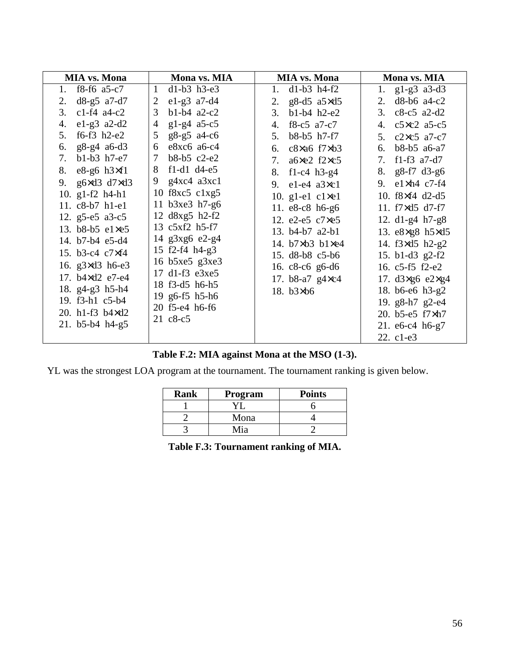| $d1-b3 h3-e3$<br>1. $f8-f6$ a 5-c 7<br>$\mathbf{1}$                                                                                                                                                                                                                                                                                                                                                                                                                                                                                                                                                                                                                                                                                                                                                                                                                                             |                                                                                                                                                                                                                                                                                                                                                                                                                                             |                                                                                                                                                                                                                                                                                                                                                                                                                                                                        |
|-------------------------------------------------------------------------------------------------------------------------------------------------------------------------------------------------------------------------------------------------------------------------------------------------------------------------------------------------------------------------------------------------------------------------------------------------------------------------------------------------------------------------------------------------------------------------------------------------------------------------------------------------------------------------------------------------------------------------------------------------------------------------------------------------------------------------------------------------------------------------------------------------|---------------------------------------------------------------------------------------------------------------------------------------------------------------------------------------------------------------------------------------------------------------------------------------------------------------------------------------------------------------------------------------------------------------------------------------------|------------------------------------------------------------------------------------------------------------------------------------------------------------------------------------------------------------------------------------------------------------------------------------------------------------------------------------------------------------------------------------------------------------------------------------------------------------------------|
| $d8-g5$ a 7-d7<br>$e1-g3$ a 7-d4<br>2.<br>2<br>$c1-f4$ a4- $c2$<br>$b1-b4$ a2-c2<br>3<br>3.<br>$e1-g3$ a2-d2<br>$g1-g4$ a5-c5<br>4.<br>4<br>f6-f3 $h2-e2$<br>g8-g5 a4-c6<br>5.<br>5<br>g8-g4 a6-d3<br>$e8xc6$ a6-c4<br>6.<br>6<br>$b1-b3 h7-e7$<br>b8-b5 c2-e2<br>7<br>7.<br>$f1-d1$ d <sub>4-e5</sub><br>8. $e8-g6 h3\times f1$<br>8<br>$g4xc4$ a $3xc1$<br>9<br>g6 $\times$ d3 d7 $\times$ d3<br>9.<br>10 $f8xc5$ $c1xg5$<br>10. $g1-f2$ h4-h1<br>11 b3xe3 h7-g6<br>11. c8-b7 h1-e1<br>12 d8xg5 h2-f2<br>12. g5-e5 a3-c5<br>13 c5xf2 h5-f7<br>13. b8-b5 e1xe5<br>14 g3xg6 e2-g4<br>14. b7-b4 e5-d4<br>15 $f2-f4 h4-g3$<br>15. b3-c4 c7×f4<br>16 $b5xe5$ g $3xe3$<br>16. $g3 \times d3$ h6-e3<br>17 d1-f3 e3xe5<br>17. b4×d2 e7-e4<br>18 f3-d5 h6-h5<br>18. g4-g3 h5-h4<br>19 g6-f5 h5-h6<br>19. f3-h1 c5-b4<br>20 f5-e4 h6-f6<br>20. h1-f3 b4×d2<br>$21 \text{ c}8 - c5$<br>21. $b5-b4$ h4-g5 | 1. $d1-b3 h4-f2$<br>g8-d5 $a5 \times d5$<br>2.<br>$b1-b4 h2-e2$<br>3.<br>4. f8-c5 a7-c7<br>5. b8-b5 h7-f7<br>6. $c8 \times a6$ f7 $\times b3$<br>7. $a6 \times e2$ f2 $\times c5$<br>8. f1-c4 h3-g4<br>9. $e1-e4$ $a3 \times c1$<br>10. g1-e1 $c1 \times e1$<br>11. e8-c8 h6-g6<br>12. e2-e5 c7xe5<br>13. b4-b7 a2-b1<br>14. $b7 \times b3$ $b1 \times e4$<br>15. d8-b8 c5-b6<br>16. $c8-c6$ g6-d6<br>17. b8-a7 g4×c4<br>18. $b3 \times b6$ | 1. $g1-g3$ a3-d3<br>2. d8-b6 a4-c2<br>3. c8-c5 a2-d2<br>4. $c5 \times c2$ a5-c5<br>5. c2×c5 a7-c7<br>6. b8-b5 a6-a7<br>7. f1-f3 a7-d7<br>8. $g8-f7 d3-g6$<br>9. $e1 \times h4$ $c7$ -f4<br>10. f8×f4 d2-d5<br>11. $f7 \times d5$ d7-f7<br>12. $d1-g4 h7-g8$<br>13. e8×g8 h5×d5<br>14. f3×d5 h2-g2<br>15. b1-d3 g2-f2<br>16. c5-f5 f2-e2<br>17. $d3 \times g6$ e $2 \times g4$<br>18. b6-e6 h3-g2<br>19. g8-h7 g2-e4<br>20. b5-e5 f7xh7<br>21. e6-c4 h6-g7<br>22. c1-e3 |

### **Table F.2: MIA against Mona at the MSO (1-3).**

YL was the strongest LOA program at the tournament. The tournament ranking is given below.

| Rank | Program | <b>Points</b> |
|------|---------|---------------|
|      |         |               |
|      | Mona    |               |
|      | Mia     |               |

**Table F.3: Tournament ranking of MIA.**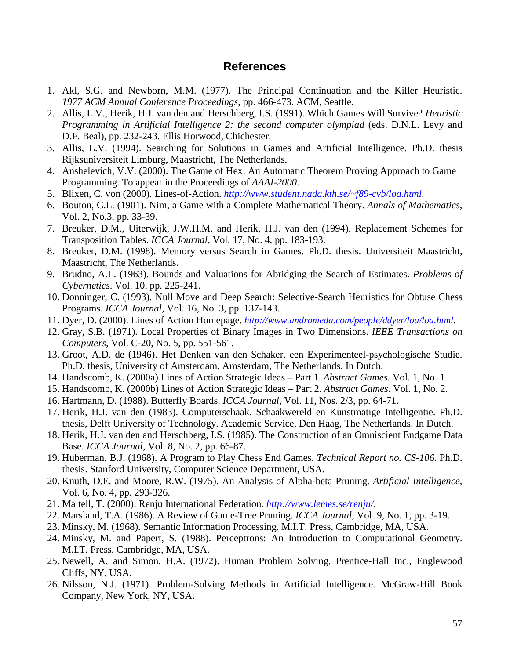### **References**

- 1. Akl, S.G. and Newborn, M.M. (1977). The Principal Continuation and the Killer Heuristic. *1977 ACM Annual Conference Proceedings*, pp. 466-473. ACM, Seattle.
- 2. Allis, L.V., Herik, H.J. van den and Herschberg, I.S. (1991). Which Games Will Survive? *Heuristic Programming in Artificial Intelligence 2: the second computer olympiad* (eds. D.N.L. Levy and D.F. Beal), pp. 232-243. Ellis Horwood, Chichester.
- 3. Allis, L.V. (1994). Searching for Solutions in Games and Artificial Intelligence. Ph.D. thesis Rijksuniversiteit Limburg, Maastricht, The Netherlands.
- 4. Anshelevich, V.V. (2000). The Game of Hex: An Automatic Theorem Proving Approach to Game Programming. To appear in the Proceedings of *AAAI-2000*.
- 5. Blixen, C. von (2000). Lines-of-Action. *http://www.student.nada.kth.se/~f89-cvb/loa.html*.
- 6. Bouton, C.L. (1901). Nim, a Game with a Complete Mathematical Theory. *Annals of Mathematics*, Vol. 2, No.3, pp. 33-39.
- 7. Breuker, D.M., Uiterwijk, J.W.H.M. and Herik, H.J. van den (1994). Replacement Schemes for Transposition Tables. *ICCA Journal*, Vol. 17, No. 4, pp. 183-193.
- 8. Breuker, D.M. (1998). Memory versus Search in Games. Ph.D. thesis. Universiteit Maastricht, Maastricht, The Netherlands.
- 9. Brudno, A.L. (1963). Bounds and Valuations for Abridging the Search of Estimates. *Problems of Cybernetics*. Vol. 10, pp. 225-241.
- 10. Donninger, C. (1993). Null Move and Deep Search: Selective-Search Heuristics for Obtuse Chess Programs. *ICCA Journal*, Vol. 16, No. 3, pp. 137-143.
- 11. Dyer, D. (2000). Lines of Action Homepage. *http://www.andromeda.com/people/ddyer/loa/loa.html*.
- 12. Gray, S.B. (1971). Local Properties of Binary Images in Two Dimensions. *IEEE Transactions on Computers,* Vol. C-20, No. 5, pp. 551-561.
- 13. Groot, A.D. de (1946). Het Denken van den Schaker, een Experimenteel-psychologische Studie. Ph.D. thesis, University of Amsterdam, Amsterdam, The Netherlands. In Dutch.
- 14. Handscomb, K. (2000a) Lines of Action Strategic Ideas Part 1. *Abstract Games.* Vol. 1, No. 1.
- 15. Handscomb, K. (2000b) Lines of Action Strategic Ideas Part 2. *Abstract Games.* Vol. 1, No. 2.
- 16. Hartmann, D. (1988). Butterfly Boards. *ICCA Journal*, Vol. 11, Nos. 2/3, pp. 64-71.
- 17. Herik, H.J. van den (1983). Computerschaak, Schaakwereld en Kunstmatige Intelligentie. Ph.D. thesis, Delft University of Technology. Academic Service, Den Haag, The Netherlands. In Dutch.
- 18. Herik, H.J. van den and Herschberg, I.S. (1985). The Construction of an Omniscient Endgame Data Base. *ICCA Journal*, Vol. 8, No. 2, pp. 66-87.
- 19. Huberman, B.J. (1968). A Program to Play Chess End Games. *Technical Report no. CS-106.* Ph.D. thesis. Stanford University, Computer Science Department, USA.
- 20. Knuth, D.E. and Moore, R.W. (1975). An Analysis of Alpha-beta Pruning. *Artificial Intelligence*, Vol. 6, No. 4, pp. 293-326.
- 21. Maltell, T. (2000). Renju International Federation. *http://www.lemes.se/renju/*.
- 22. Marsland, T.A. (1986). A Review of Game-Tree Pruning. *ICCA Journal*, Vol. 9, No. 1, pp. 3-19.
- 23. Minsky, M. (1968). Semantic Information Processing. M.I.T. Press, Cambridge, MA, USA.
- 24. Minsky, M. and Papert, S. (1988). Perceptrons: An Introduction to Computational Geometry. M.I.T. Press, Cambridge, MA, USA.
- 25. Newell, A. and Simon, H.A. (1972). Human Problem Solving. Prentice-Hall Inc., Englewood Cliffs, NY, USA.
- 26. Nilsson, N.J. (1971). Problem-Solving Methods in Artificial Intelligence. McGraw-Hill Book Company, New York, NY, USA.